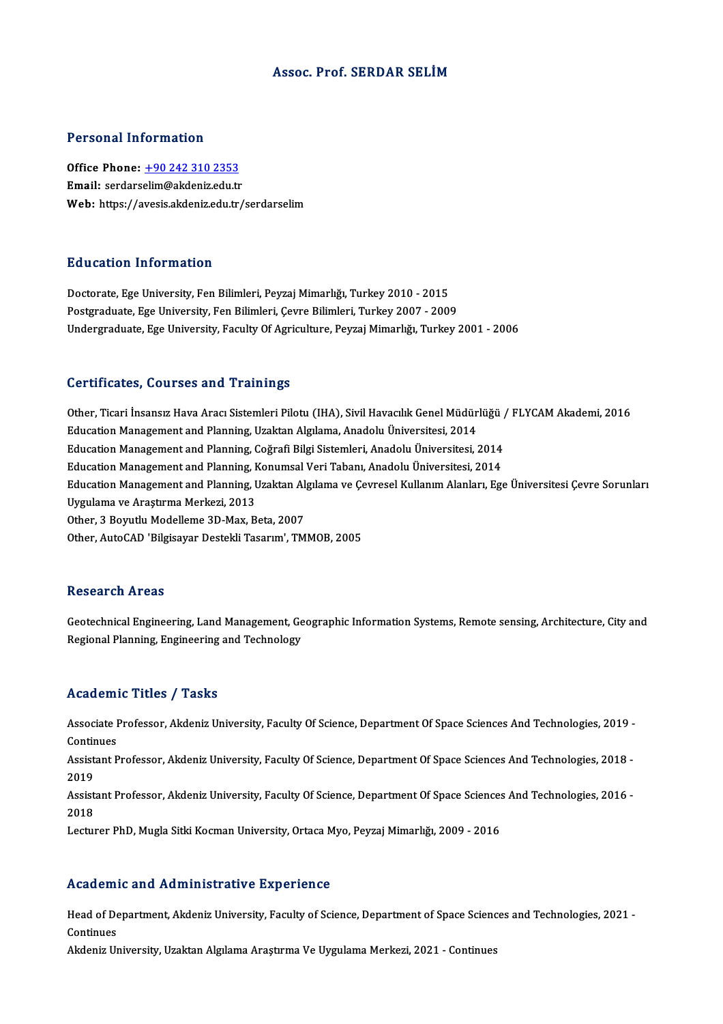### Assoc. Prof. SERDAR SELİM

### Personal Information

Office Phone: +90 242 310 2353 Email: serdars[elim@akdeniz.edu.tr](tel:+90 242 310 2353) Web: https://avesis.akdeniz.edu.tr/serdarselim

### Education Information

Doctorate, Ege University, Fen Bilimleri, Peyzaj Mimarlığı, Turkey 2010 - 2015 Postgraduate, Ege University, Fen Bilimleri, Çevre Bilimleri, Turkey 2007 - 2009 Undergraduate, Ege University, Faculty Of Agriculture, Peyzaj Mimarlığı, Turkey 2001 - 2006

### Certificates, Courses and Trainings

Other, Ticari İnsansız Hava Aracı Sistemleri Pilotu (IHA), Sivil Havacılık Genel Müdürlüğü / FLYCAM Akademi, 2016 eer chreates) eserbes and Tramm<sub>i</sub>ss<br>Other, Ticari İnsansız Hava Aracı Sistemleri Pilotu (IHA), Sivil Havacılık Genel Müdür<br>Education Management and Planning, Uzaktan Algılama, Anadolu Üniversitesi, 2014 Other, Ticari İnsansız Hava Aracı Sistemleri Pilotu (IHA), Sivil Havacılık Genel Müdürlüğü<br>Education Management and Planning, Uzaktan Algılama, Anadolu Üniversitesi, 2014<br>Education Management and Planning, Coğrafi Bilgi Si Education Management and Planning, Uzaktan Algılama, Anadolu Üniversitesi, 2014<br>Education Management and Planning, Coğrafi Bilgi Sistemleri, Anadolu Üniversitesi, 2014<br>Education Management and Planning, Konumsal Veri Taban Education Management and Planning, Coğrafi Bilgi Sistemleri, Anadolu Üniversitesi, 2014<br>Education Management and Planning, Konumsal Veri Tabanı, Anadolu Üniversitesi, 2014<br>Education Management and Planning, Uzaktan Algılam Education Management and Planning, I<br>Education Management and Planning, I<br>Uygulama ve Araştırma Merkezi, 2013<br>Otber 3 Bevutlu Medelleme 3D May, B Education Management and Planning, Uzaktan Al<sub>i</sub><br>Uygulama ve Araştırma Merkezi, 2013<br>Other, 3 Boyutlu Modelleme 3D-Max, Beta, 2007<br>Other, AutoCAD 'Pilgisayar Destakli Tasarım', TM Uygulama ve Araştırma Merkezi, 2013<br>Other, 3 Boyutlu Modelleme 3D-Max, Beta, 2007<br>Other, AutoCAD 'Bilgisayar Destekli Tasarım', TMMOB, 2005

### **Research Areas**

Research Areas<br>Geotechnical Engineering, Land Management, Geographic Information Systems, Remote sensing, Architecture, City and<br>Regional Planning, Engineering and Technology Resear en 11 eas<br>Geotechnical Engineering, Land Management, Ge<br>Regional Planning, Engineering and Technology Regional Planning, Engineering and Technology<br>Academic Titles / Tasks

Academic Titles / Tasks<br>Associate Professor, Akdeniz University, Faculty Of Science, Department Of Space Sciences And Technologies, 2019 -<br>Centinues Associate I<br>Continues<br>Assistant P Associate Professor, Akdeniz University, Faculty Of Science, Department Of Space Sciences And Technologies, 2019 -<br>Continues<br>Assistant Professor, Akdeniz University, Faculty Of Science, Department Of Space Sciences And Tec Contin<br>Assist<br>2019 Assistant Professor, Akdeniz University, Faculty Of Science, Department Of Space Sciences And Technologies, 2018 -<br>2019<br>Assistant Professor, Akdeniz University, Faculty Of Science, Department Of Space Sciences And Technolo 2019<br>Assistant Professor, Akdeniz University, Faculty Of Science, Department Of Space Sciences And Technologies, 2016 -<br>2018

Lecturer PhD, Mugla Sitki Kocman University, Ortaca Myo, Peyzaj Mimarlığı, 2009 - 2016

### Academic and Administrative Experience

Academic and Administrative Experience<br>Head of Department, Akdeniz University, Faculty of Science, Department of Space Sciences and Technologies, 2021<br>Centinues Head of De<br>Continues<br>Aldenia Ur Continues<br>Akdeniz University, Uzaktan Algılama Araştırma Ve Uygulama Merkezi, 2021 - Continues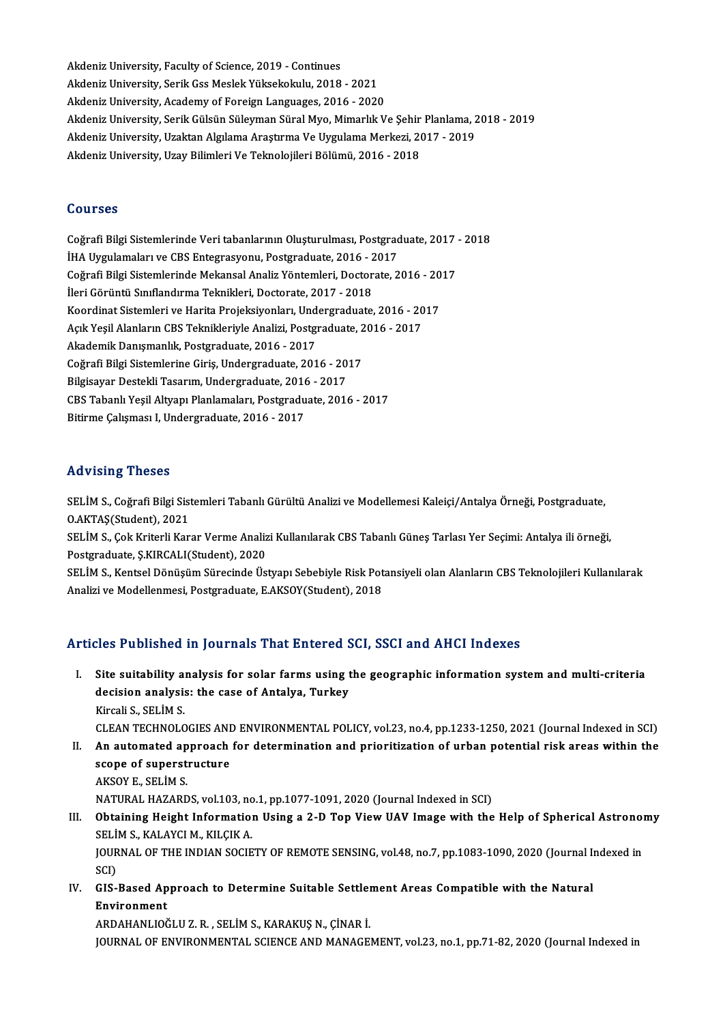Akdeniz University, Faculty of Science, 2019 - Continues Akdeniz University, Serik Gss Meslek Yüksekokulu, 2018 - 2021 Akdeniz University, Academy of Foreign Languages, 2016 - 2020 Akdeniz University, Serik Gss Meslek Yüksekokulu, 2018 - 2021<br>Akdeniz University, Academy of Foreign Languages, 2016 - 2020<br>Akdeniz University, Serik Gülsün Süleyman Süral Myo, Mimarlık Ve Şehir Planlama, 2018 - 2019<br>Akden Akdeniz University, Academy of Foreign Languages, 2016 - 2020<br>Akdeniz University, Serik Gülsün Süleyman Süral Myo, Mimarlık Ve Şehir Planlama, 2<br>Akdeniz University, Uzaktan Algılama Araştırma Ve Uygulama Merkezi, 2017 - 20 Akdeniz University, Serik Gülsün Süleyman Süral Myo, Mimarlık Ve Şehir<br>Akdeniz University, Uzaktan Algılama Araştırma Ve Uygulama Merkezi, 21<br>Akdeniz University, Uzay Bilimleri Ve Teknolojileri Bölümü, 2016 - 2018 Akdeniz University, Uzay Bilimleri Ve Teknolojileri Bölümü, 2016 - 2018<br>Courses

Coğrafi Bilgi Sistemlerinde Veri tabanlarının Oluşturulması, Postgraduate, 2017 - 2018 **Joursss<br>Coğrafi Bilgi Sistemlerinde Veri tabanlarının Oluşturulması, Postgrad<br>İHA Uygulamaları ve CBS Entegrasyonu, Postgraduate, 2016 - 2017<br>Coğrafi Bilgi Sistemlerinde Mekansel Anelis Vöntemleri, Desterate, 2** Coğrafi Bilgi Sistemlerinde Veri tabanlarının Oluşturulması, Postgraduate, 2017<br>İHA Uygulamaları ve CBS Entegrasyonu, Postgraduate, 2016 - 2017<br>Coğrafi Bilgi Sistemlerinde Mekansal Analiz Yöntemleri, Doctorate, 2016 - 2017 İHA Uygulamaları ve CBS Entegrasyonu, Postgraduate, 2016 - 2<br>Coğrafi Bilgi Sistemlerinde Mekansal Analiz Yöntemleri, Doctor<br>İleri Görüntü Sınıflandırma Teknikleri, Doctorate, 2017 - 2018<br>Koardinat Sistemleri ve Harita Prei Coğrafi Bilgi Sistemlerinde Mekansal Analiz Yöntemleri, Doctorate, 2016 - 2017<br>İleri Görüntü Sınıflandırma Teknikleri, Doctorate, 2017 - 2018<br>Koordinat Sistemleri ve Harita Projeksiyonları, Undergraduate, 2016 - 2017 İleri Görüntü Sınıflandırma Teknikleri, Doctorate, 2017 - 2018<br>Koordinat Sistemleri ve Harita Projeksiyonları, Undergraduate, 2016 - 20<br>Açık Yeşil Alanların CBS Teknikleriyle Analizi, Postgraduate, 2016 - 2017<br>Alademik Den Koordinat Sistemleri ve Harita Projeksiyonları, Und<br>Açık Yeşil Alanların CBS Teknikleriyle Analizi, Postgı<br>Akademik Danışmanlık, Postgraduate, 2016 - 2017<br>Ceğrafi Bilgi Sistemlerine Ciris, Undergraduate, 201 Açık Yeşil Alanların CBS Teknikleriyle Analizi, Postgraduate, 2<br>Akademik Danışmanlık, Postgraduate, 2016 - 2017<br>Coğrafi Bilgi Sistemlerine Giriş, Undergraduate, 2016 - 2017<br>Bilgiseyar Destekli Tesarım, Undergraduate, 2016 Akademik Danışmanlık, Postgraduate, 2016 - 2017<br>Coğrafi Bilgi Sistemlerine Giriş, Undergraduate, 2016 - 20<br>Bilgisayar Destekli Tasarım, Undergraduate, 2016 - 2017<br>CBS Tabaplı Yesil Altranı Blanlamaları, Pestgraduate, 2017 Coğrafi Bilgi Sistemlerine Giriş, Undergraduate, 2016 - 2017<br>Bilgisayar Destekli Tasarım, Undergraduate, 2016 - 2017<br>CBS Tabanlı Yeşil Altyapı Planlamaları, Postgraduate, 2016 - 2017<br>Bitirme Calisması I. Undergraduata, 201 Bilgisayar Destekli Tasarım, Undergraduate, 2016<br>CBS Tabanlı Yeşil Altyapı Planlamaları, Postgradu<br>Bitirme Çalışması I, Undergraduate, 2016 - 2017 Bitirme Çalışması I, Undergraduate, 2016 - 2017<br>Advising Theses

**Advising Theses**<br>SELİM S., Coğrafi Bilgi Sistemleri Tabanlı Gürültü Analizi ve Modellemesi Kaleiçi/Antalya Örneği, Postgraduate,<br>QAKTAS(Student), 2021 SELİM S., Coğrafi Bilgi Sist<br>O.AKTAŞ(Student), 2021<br>SELİM S. Cok Kritorli Kor SELİM S., Coğrafi Bilgi Sistemleri Tabanlı Gürültü Analizi ve Modellemesi Kaleiçi/Antalya Örneği, Postgraduate,<br>O.AKTAŞ(Student), 2021<br>SELİM S., Çok Kriterli Karar Verme Analizi Kullanılarak CBS Tabanlı Güneş Tarlası Yer S

O.AKTAŞ(Student), 2021<br>SELİM S., Çok Kriterli Karar Verme Analiz<br>Postgraduate, Ş.KIRCALI(Student), 2020<br>SELİM S. Kontael Dönüsüm Süresinde Üs SELİM S., Çok Kriterli Karar Verme Analizi Kullanılarak CBS Tabanlı Güneş Tarlası Yer Seçimi: Antalya ili örneği,<br>Postgraduate, Ş.KIRCALI(Student), 2020<br>SELİM S., Kentsel Dönüşüm Sürecinde Üstyapı Sebebiyle Risk Potansiyel

Postgraduate, Ş.KIRCALI(Student), 2020<br>SELİM S., Kentsel Dönüşüm Sürecinde Üstyapı Sebebiyle Risk Potansiyeli olan Alanların CBS Teknolojileri Kullanılarak<br>Analizi ve Modellenmesi, Postgraduate, E.AKSOY(Student), 2018

## Articles Published in Journals That Entered SCI, SSCI and AHCI Indexes

- I. Site suitability analysis for solar farms using the geographic information system and multi-criteria<br>I. Site suitability analysis for solar farms using the geographic information system and multi-criteria<br>decision analy Site suitability analysis for solar farms using the case of Antalya, Turkey<br>Virgeli S. SELIM S. decision analysis: the case of Antalya, Turkey<br>Kircali S., SELİM S. decision analysis: the case of Antalya, Turkey<br>Kircali S., SELİM S.<br>CLEAN TECHNOLOGIES AND ENVIRONMENTAL POLICY, vol.23, no.4, pp.1233-1250, 2021 (Journal Indexed in SCI)<br>An automated annroach for determination and priorit
- Kircali S., SELİM S.<br>CLEAN TECHNOLOGIES AND ENVIRONMENTAL POLICY, vol.23, no.4, pp.1233-1250, 2021 (Journal Indexed in SCI)<br>II. An automated approach for determination and prioritization of urban potential risk areas w **CLEAN TECHNOLOGIES AND**<br>**An automated approach<br>scope of superstructure** An automated ap<br>scope of superst<br>AKSOY E., SELİM S.<br>NATUPAL HAZARD scope of superstructure<br>AKSOY E., SELİM S.<br>NATURAL HAZARDS, vol.103, no.1, pp.1077-1091, 2020 (Journal Indexed in SCI)<br>Obtaining Height Information Heing a 2 D Top View HAV Image with the
- AKSOY E., SELİM S.<br>NATURAL HAZARDS, vol.103, no.1, pp.1077-1091, 2020 (Journal Indexed in SCI)<br>III. Obtaining Height Information Using a 2-D Top View UAV Image with the Help of Spherical Astronomy<br>SELİM S. KALAYCI M. KU CI NATURAL HAZARDS, vol.103, no<br>Obtaining Height Information<br>SELİM S., KALAYCI M., KILÇIK A.<br>JOUPNAL OF THE INDIAN SOCIE Obtaining Height Information Using a 2-D Top View UAV Image with the Help of Spherical Astronol<br>SELIM S., KALAYCI M., KILÇIK A.<br>JOURNAL OF THE INDIAN SOCIETY OF REMOTE SENSING, vol.48, no.7, pp.1083-1090, 2020 (Journal Ind SELIM S., KALAYCI M., KILÇIK A.<br>JOURNAL OF THE INDIAN SOCIETY OF REMOTE SENSING, vol.48, no.7, pp.1083-1090, 2020 (Journal Indexed in<br>SCI) JOURNAL OF THE INDIAN SOCIETY OF REMOTE SENSING, vol.48, no.7, pp.1083-1090, 2020 (Journal In SCI)<br>SCI)<br>IV. GIS-Based Approach to Determine Suitable Settlement Areas Compatible with the Natural<br>Envirorment
- SCI)<br>GIS-Based Ap<br>Environment<br>APDAHANLIOČ GIS-Based Approach to Determine Suitable Settler<br>Environment<br>ARDAHANLIOĞLU Z. R. , SELİM S., KARAKUŞ N., ÇİNAR İ.<br>JOUPNAL OE ENVIRONMENTAL SCIENCE AND MANACE.

Environment<br>ARDAHANLIOĞLU Z. R. , SELİM S., KARAKUŞ N., ÇİNAR İ.<br>JOURNAL OF ENVIRONMENTAL SCIENCE AND MANAGEMENT, vol.23, no.1, pp.71-82, 2020 (Journal Indexed in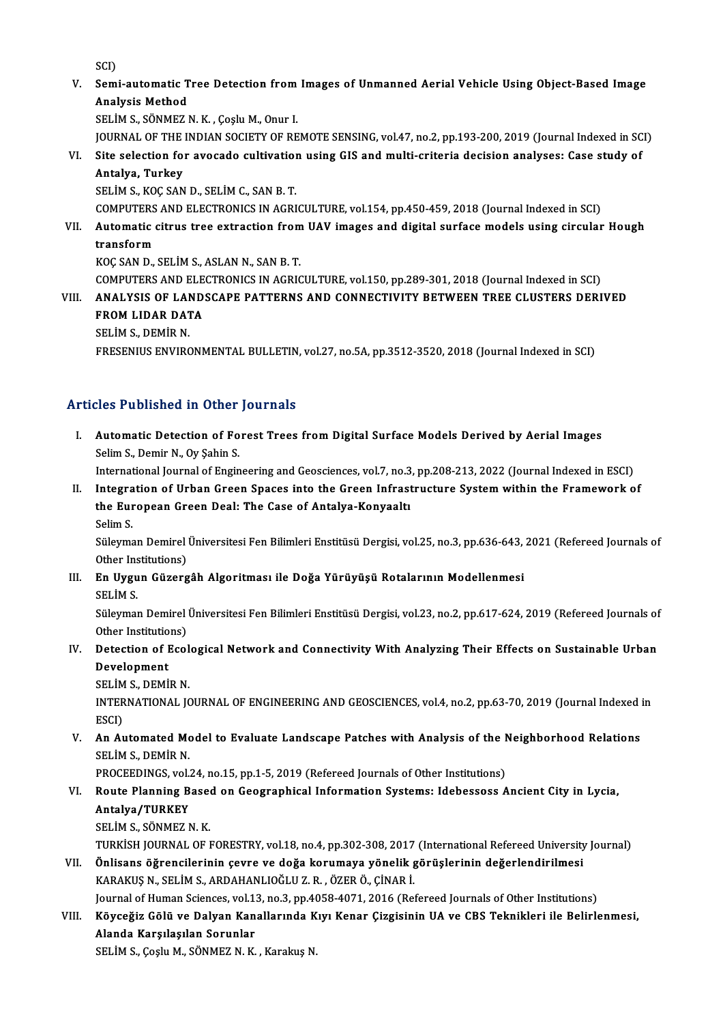SCI)

SCI)<br>V. Semi-automatic Tree Detection from Images of Unmanned Aerial Vehicle Using Object-Based Image<br>Analysis Method SCI)<br>Semi-automatic T<br>Analysis Method<br>SELIM S. SÖNMEZ I Analysis Method<br>SELİM S., SÖNMEZ N. K. , Çoşlu M., Onur I.

Analysis Method<br>SELİM S., SÖNMEZ N. K. , Çoşlu M., Onur I.<br>JOURNAL OF THE INDIAN SOCIETY OF REMOTE SENSING, vol.47, no.2, pp.193-200, 2019 (Journal Indexed in SCI)<br>Site selection for avecade cultivation using CIS and multi SELIM S., SÖNMEZ N. K. , Çoşlu M., Onur I.<br>JOURNAL OF THE INDIAN SOCIETY OF REMOTE SENSING, vol.47, no.2, pp.193-200, 2019 (Journal Indexed in SC<br>VI. Site selection for avocado cultivation using GIS and multi-criteria deci

**JOURNAL OF THE<br>Site selection for<br>Antalya, Turkey<br>SELIM S. KOC SAN** Site selection for avocado cultivation<br>Antalya, Turkey<br>SELİM S., KOÇ SAN D., SELİM C., SAN B. T.<br>COMPUTERS AND ELECTRONICS IN ACRI Antalya, Turkey<br>SELIM S., KOÇ SAN D., SELIM C., SAN B. T.<br>COMPUTERS AND ELECTRONICS IN AGRICULTURE, vol.154, pp.450-459, 2018 (Journal Indexed in SCI)<br>Automatic citrus tree extraction from HAV images and digital surfase mo

SELIM S., KOÇ SAN D., SELIM C., SAN B. T.<br>COMPUTERS AND ELECTRONICS IN AGRICULTURE, vol.154, pp.450-459, 2018 (Journal Indexed in SCI)<br>VII. Automatic citrus tree extraction from UAV images and digital surface models us COMPUTERS<br>Automatic<br>transform<br>KOC SAN D Automatic citrus tree extraction from<br>transform<br>KOÇ SAN D., SELİM S., ASLAN N., SAN B. T.<br>COMBUTERS AND ELECTRONICS IN ACRIC transform<br>KOÇ SAN D., SELİM S., ASLAN N., SAN B. T.<br>COMPUTERS AND ELECTRONICS IN AGRICULTURE, vol.150, pp.289-301, 2018 (Journal Indexed in SCI)<br>ANALYSIS OF LANDSCARE RATTERNS AND CONNECTIVITY RETWEEN TREE CLUSTERS DERL

## KOÇ SAN D., SELİM S., ASLAN N., SAN B. T.<br>COMPUTERS AND ELECTRONICS IN AGRICULTURE, vol.150, pp.289-301, 2018 (Journal Indexed in SCI)<br>VIII. ANALYSIS OF LANDSCAPE PATTERNS AND CONNECTIVITY BETWEEN TREE CLUSTERS DERIVED COMPUTERS AND ELE<br>ANALYSIS OF LAND:<br>FROM LIDAR DATA ANALYSIS OF LAN<br>FROM LIDAR DAT<br>SELİM S., DEMİR N.<br>ERESENIJIS ENVIRC FROM LIDAR DATA<br>SELIM S., DEMIR N.<br>FRESENIUS ENVIRONMENTAL BULLETIN, vol.27, no.5A, pp.3512-3520, 2018 (Journal Indexed in SCI)

## Articles Published in Other Journals

rticles Published in Other Journals<br>I. Automatic Detection of Forest Trees from Digital Surface Models Derived by Aerial Images<br>Solim S. Damir N. Ov Sobin S Selim S., Demir N., Oy Şahin S.<br>Selim S., Demir N., Oy Şahin S.<br>International Journal of Engin Automatic Detection of Forest Trees from Digital Surface Models Derived by Aerial Images<br>Selim S., Demir N., Oy Șahin S.<br>International Journal of Engineering and Geosciences, vol.7, no.3, pp.208-213, 2022 (Journal Indexed

Selim S., Demir N., Oy Şahin S.<br>International Journal of Engineering and Geosciences, vol.7, no.3, pp.208-213, 2022 (Journal Indexed in ESCI)<br>II. Integration of Urban Green Spaces into the Green Infrastructure System withi International Journal of Engineering and Geosciences, vol.7, no.3<br>Integration of Urban Green Spaces into the Green Infrast<br>the European Green Deal: The Case of Antalya-Konyaaltı<br>Selim S Integra<br>the Eur<br>Selim S.<br>Süleyme the European Green Deal: The Case of Antalya-Konyaaltı<br>Selim S.<br>Süleyman Demirel Üniversitesi Fen Bilimleri Enstitüsü Dergisi, vol.25, no.3, pp.636-643, 2021 (Refereed Journals of

Selim S.<br>Süleyman Demirel<br>Other Institutions)<br>En Hygun Güreng Süleyman Demirel Üniversitesi Fen Bilimleri Enstitüsü Dergisi, vol.25, no.3, pp.636-643,<br>Other Institutions)<br>III. En Uygun Güzergâh Algoritması ile Doğa Yürüyüşü Rotalarının Modellenmesi<br>SELİM S

Other Ins<br>**En Uygu**<br>SELİM S.<br>Süleymal En Uygun Güzergâh Algoritması ile Doğa Yürüyüşü Rotalarının Modellenmesi<br>SELİM S.<br>Süleyman Demirel Üniversitesi Fen Bilimleri Enstitüsü Dergisi, vol.23, no.2, pp.617-624, 2019 (Refereed Journals of

SELİM S.<br>Süleyman Demirel<br>Other Institutions)<br>Petestion of Esel Süleyman Demirel Üniversitesi Fen Bilimleri Enstitüsü Dergisi, vol.23, no.2, pp.617-624, 2019 (Refereed Journals of<br>Other Institutions)<br>IV. Detection of Ecological Network and Connectivity With Analyzing Their Effects on S

# Other Institutio<br>Detection of I<br>Development<br>SELIM S. DEMI Detection of Ecol<br>Development<br>SELİM S., DEMİR N.<br>INTERNATIONAL IC

SELİM S., DEMİR N.

Development<br>SELİM S., DEMİR N.<br>INTERNATIONAL JOURNAL OF ENGINEERING AND GEOSCIENCES, vol.4, no.2, pp.63-70, 2019 (Journal Indexed in<br>ESCI) INTERNATIONAL JOURNAL OF ENGINEERING AND GEOSCIENCES, vol.4, no.2, pp.63-70, 2019 (Journal Indexed in ESCI)<br>ESCI)<br>V. An Automated Model to Evaluate Landscape Patches with Analysis of the Neighborhood Relations<br>SELIM S. DEM

ESCI)<br>An Automated Mc<br>SELİM S., DEMİR N.<br>PROCEEDINCS vel An Automated Model to Evaluate Landscape Patches with Analysis of the N<br>SELIM S., DEMIR N.<br>PROCEEDINGS, vol.24, no.15, pp.1-5, 2019 (Refereed Journals of Other Institutions)<br>Boute Planning Based on Coographical Information

# SELIM S., DEMIR N.<br>PROCEEDINGS, vol.24, no.15, pp.1-5, 2019 (Refereed Journals of Other Institutions)<br>VI. Route Planning Based on Geographical Information Systems: Idebessoss Ancient City in Lycia,<br>Antelye (TIIBKEY PROCEEDINGS, vol.<br>Route Planning B<br>Antalya/TURKEY<br>SELIMS SÖNMEZA Route Planning Base<br>Antalya/TURKEY<br>SELİM S., SÖNMEZ N. K.<br>TURKİSH JOURNAL OF I Antalya/TURKEY<br>SELİM S., SÖNMEZ N. K.<br>TURKİSH JOURNAL OF FORESTRY, vol.18, no.4, pp.302-308, 2017 (International Refereed University Journal)<br>Önlisans öğrengilerinin seyre ve doğa konumaya vönelik görüşlerinin doğarlandiri

SELİM S., SÖNMEZ N. K.<br>TURKİSH JOURNAL OF FORESTRY, vol.18, no.4, pp.302-308, 2017 (International Refereed University<br>VII. Önlisans öğrencilerinin çevre ve doğa korumaya yönelik görüşlerinin değerlendirilmesi<br>KARAKUS N. SE TURKİSH JOURNAL OF FORESTRY, vol.18, no.4, pp.302-308, 2017<br>Önlisans öğrencilerinin çevre ve doğa korumaya yönelik g<br>KARAKUŞ N., SELİM S., ARDAHANLIOĞLU Z. R. , ÖZER Ö., ÇİNAR İ.<br>Journal of Human Ssianses, vol.13, no.2, np Önlisans öğrencilerinin çevre ve doğa korumaya yönelik görüşlerinin değerlendirilmesi<br>KARAKUŞ N., SELİM S., ARDAHANLIOĞLU Z. R. , ÖZER Ö., ÇİNAR İ.<br>Journal of Human Sciences, vol.13, no.3, pp.4058-4071, 2016 (Refereed Jour

KARAKUŞ N., SELİM S., ARDAHANLIOĞLU Z. R. , ÖZER Ö., ÇİNAR İ.<br>Journal of Human Sciences, vol.13, no.3, pp.4058-4071, 2016 (Refereed Journals of Other Institutions)<br>VIII. Köyceğiz Gölü ve Dalyan Kanallarında Kıyı Kenar Journal of Human Sciences, vol.1:<br>Köyceğiz Gölü ve Dalyan Kan<br>Alanda Karşılaşılan Sorunlar<br>SELİM S. Coslu M. SÖNMEZ N. K Köyceğiz Gölü ve Dalyan Kanallarında K<br>Alanda Karşılaşılan Sorunlar<br>SELİM S., Çoşlu M., SÖNMEZ N. K. , Karakuş N.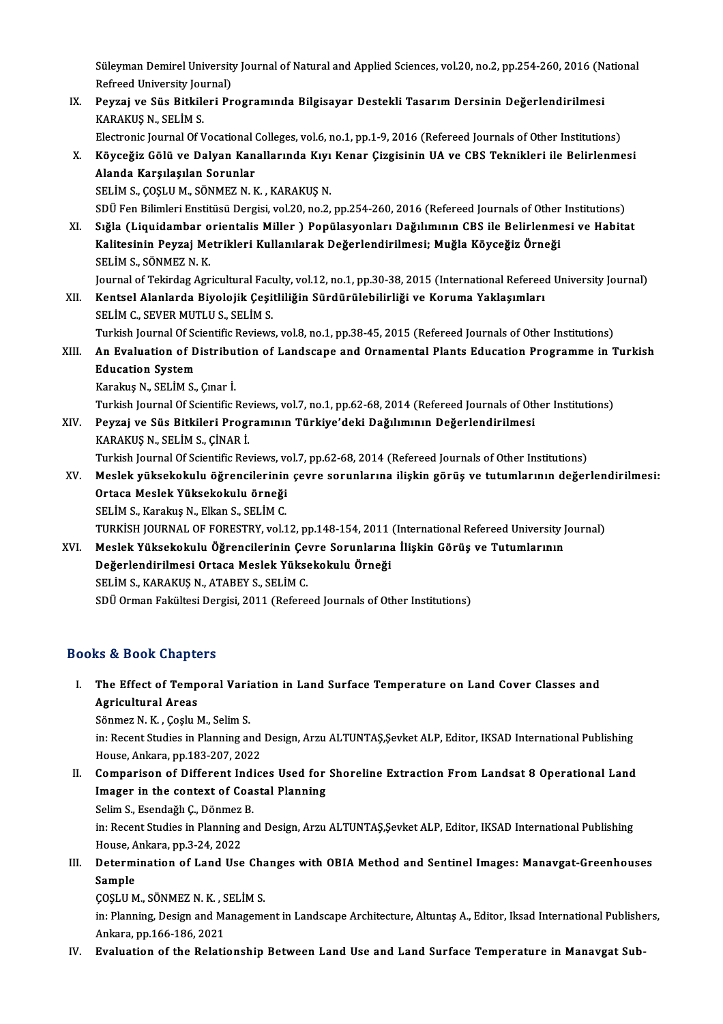Süleyman Demirel University Journal of Natural and Applied Sciences, vol.20, no.2, pp.254-260, 2016 (National<br>Refreed University Journal) Süleyman Demirel Universit<br>Refreed University Journal)<br>Povrai ve Süe Bitkileri Pr Süleyman Demirel University Journal of Natural and Applied Sciences, vol.20, no.2, pp.254-260, 2016 (N.<br>Refreed University Journal)<br>IX. Peyzaj ve Süs Bitkileri Programında Bilgisayar Destekli Tasarım Dersinin Değerlendiril

Refreed University Jou<br>Peyzaj ve Süs Bitkile<br>KARAKUŞ N., SELİM S.<br>Electronis Journal Of V Peyzaj ve Süs Bitkileri Programında Bilgisayar Destekli Tasarım Dersinin Değerlendirilmesi<br>KARAKUŞ N., SELİM S.<br>Electronic Journal Of Vocational Colleges, vol.6, no.1, pp.1-9, 2016 (Refereed Journals of Other Institutions)

KARAKUŞ N., SELİM S.<br>Electronic Journal Of Vocational Colleges, vol.6, no.1, pp.1-9, 2016 (Refereed Journals of Other Institutions)<br>X. Köyceğiz Gölü ve Dalyan Kanallarında Kıyı Kenar Çizgisinin UA ve CBS Teknikleri ile Electronic Journal Of Vocational Colleges, vol.6, no.1, pp.1-9, 2016 (Refereed Journals of Other Institutions)<br>Köyceğiz Gölü ve Dalyan Kanallarında Kıyı Kenar Çizgisinin UA ve CBS Teknikleri ile Belirlenme<br>Alanda Karşılaşı Köyceğiz Gölü ve Dalyan Kanallarında Kıyı<br>Alanda Karşılaşılan Sorunlar<br>SELİM S., ÇOŞLU M., SÖNMEZ N. K. , KARAKUŞ N.<br>SDÜ Fen Bilimleri Enstitüsü Dersisi, vel 20, no 2. Alanda Karşılaşılan Sorunlar<br>SELİM S., ÇOŞLU M., SÖNMEZ N. K. , KARAKUŞ N.<br>SDÜ Fen Bilimleri Enstitüsü Dergisi, vol.20, no.2, pp.254-260, 2016 (Refereed Journals of Other Institutions)<br>Sığla (Liquidambar orientalis Miller)

SELİM S., ÇOŞLU M., SÖNMEZ N. K. , KARAKUŞ N.<br>SDÜ Fen Bilimleri Enstitüsü Dergisi, vol.20, no.2, pp.254-260, 2016 (Refereed Journals of Other Institutions)<br>XI. Sığla (Liquidambar orientalis Miller) Popülasyonları Dağılımın SDÜ Fen Bilimleri Enstitüsü Dergisi, vol.20, no.2, pp.254-260, 2016 (Refereed Journals of Other<br>Sığla (Liquidambar orientalis Miller ) Popülasyonları Dağılımının CBS ile Belirlenme<br>Kalitesinin Peyzaj Metrikleri Kullanılara Sığla (Liquidambar o<br>Kalitesinin Peyzaj Me<br>SELİM S., SÖNMEZ N. K.<br>Journal of Tekirdag Agr Kalitesinin Peyzaj Metrikleri Kullanılarak Değerlendirilmesi; Muğla Köyceğiz Örneği<br>SELİM S., SÖNMEZ N. K.<br>Journal of Tekirdag Agricultural Faculty, vol.12, no.1, pp.30-38, 2015 (International Refereed University Journal)

SELİM S., SÖNMEZ N. K.<br>Journal of Tekirdag Agricultural Faculty, vol.12, no.1, pp.30-38, 2015 (International Referee<br>XII. Kentsel Alanlarda Biyolojik Çeşitliliğin Sürdürülebilirliği ve Koruma Yaklaşımları<br>SELİM G. SEVE Journal of Tekirdag Agricultural Fac<mark>ı</mark><br>Kentsel Alanlarda Biyolojik Çeşi<br>SELİM C., SEVER MUTLU S., SELİM S.<br>Turkish Journal Of Scientifie Beviews SELİM C., SEVER MUTLU S., SELİM S.<br>Turkish Journal Of Scientific Reviews, vol.8, no.1, pp.38-45, 2015 (Refereed Journals of Other Institutions)

SELIM C., SEVER MUTLU S., SELIM S.<br>Turkish Journal Of Scientific Reviews, vol.8, no.1, pp.38-45, 2015 (Refereed Journals of Other Institutions)<br>XIII. An Evaluation of Distribution of Landscape and Ornamental Plants Edu Turkish Journal Of Sc<br>An Evaluation of D<br>Education System<br>Kanalua N. SELIM S An Evaluation of Distribu<br>Education System<br>Karakuş N., SELİM S., Çınar İ.<br>Turkish Journal Of Scientifia. Education System<br>Karakuş N., SELİM S., Çınar İ.<br>Turkish Journal Of Scientific Reviews, vol.7, no.1, pp.62-68, 2014 (Refereed Journals of Other Institutions)<br>Revrei ve Süe Bitkileri Prestamının Türkiye'deki Değılımının Değa

- Karakuş N., SELİM S., Çınar İ.<br>Turkish Journal Of Scientific Reviews, vol.7, no.1, pp.62-68, 2014 (Refereed Journals of Oth<br>XIV. Peyzaj ve Süs Bitkileri Programının Türkiye'deki Dağılımının Değerlendirilmesi<br>KARAKUS N. Turkish Journal Of Scientific Rev<br>Peyzaj ve Süs Bitkileri Progi<br>KARAKUŞ N., SELİM S., ÇİNAR İ.<br>Turkish Journal Of Scientific Bev Peyzaj ve Süs Bitkileri Programının Türkiye'deki Dağılımının Değerlendirilmesi<br>KARAKUŞ N., SELİM S., ÇİNAR İ.<br>Turkish Journal Of Scientific Reviews, vol.7, pp.62-68, 2014 (Refereed Journals of Other Institutions)<br>Meslek vü
	-
- KARAKUŞ N., SELİM S., ÇİNAR İ.<br>Turkish Journal Of Scientific Reviews, vol.7, pp.62-68, 2014 (Refereed Journals of Other Institutions)<br>XV. Meslek yüksekokulu öğrencilerinin çevre sorunlarına ilişkin görüş ve tutumlarını Turkish Journal Of Scientific Reviews, vo<br>Meslek yüksekokulu öğrencilerinin<br>Ortaca Meslek Yüksekokulu örneği<br>SELİM S. Karalays N. Elkan S. SELİM C. Meslek yüksekokulu öğrencilerinin<br>Ortaca Meslek Yüksekokulu örneği<br>SELİM S., Karakuş N., Elkan S., SELİM C.<br>TURKİSH JOURNAL OF FORESTRY vel 1 Ortaca Meslek Yüksekokulu örneği<br>SELİM S., Karakuş N., Elkan S., SELİM C.<br>TURKİSH JOURNAL OF FORESTRY, vol.12, pp.148-154, 2011 (International Refereed University Journal)
- XVI. Meslek Yüksekokulu Öğrencilerinin Çevre Sorunlarına İlişkin Görüş ve Tutumlarının TURKİSH JOURNAL OF FORESTRY, vol.12, pp.148-154, 2011<br>Meslek Yüksekokulu Öğrencilerinin Çevre Sorunlarına<br>Değerlendirilmesi Ortaca Meslek Yüksekokulu Örneği<br>SELİM S. KARAKUS N. ATAREV S. SELİM C Meslek Yüksekokulu Öğrencilerinin Çe<br>Değerlendirilmesi Ortaca Meslek Yükse<br>SELİM S., KARAKUŞ N., ATABEY S., SELİM C.<br>SDÜ Orman Fakültesi Dergisi 2011 (Refere SELİM S., KARAKUŞ N., ATABEY S., SELİM C.<br>SDÜ Orman Fakültesi Dergisi, 2011 (Refereed Journals of Other Institutions)

## Books&Book Chapters

ooks & Book Chapters<br>I. The Effect of Temporal Variation in Land Surface Temperature on Land Cover Classes and<br>Agricultural Areas Agricultural Areas<br>Agricultural Areas<br>Sänmer N. K. Cosh, N The Effect of Temporal Vari<br>Agricultural Areas<br>Sönmez N. K. , Çoşlu M., Selim S.<br>in: Pesent Studies in Planning et

Agricultural Areas<br>Sönmez N. K. , Çoşlu M., Selim S.<br>in: Recent Studies in Planning and Design, Arzu ALTUNTAŞ,Şevket ALP, Editor, IKSAD International Publishing<br>House, Ankara, pp. 193, 207, 2022 Sönmez N. K. , Çoşlu M., Selim S.<br>in: Recent Studies in Planning and<br>House, Ankara, pp.183-207, 2022<br>Comparison of Different India in: Recent Studies in Planning and Design, Arzu ALTUNTAŞ, Şevket ALP, Editor, IKSAD International Publishing<br>House, Ankara, pp.183-207, 2022<br>II. Comparison of Different Indices Used for Shoreline Extraction From Landsat 8

House, Ankara, pp.183-207, 2022<br>Comparison of Different Indices Used for<br>Imager in the context of Coastal Planning<br>Selim S. Esendağlı C. Dönmer P Comparison of Different Indi<br>Imager in the context of Coa:<br>Selim S., Esendağlı Ç., Dönmez B.<br>in: Pesent Studies in Planning an

I<mark>mager in the context of Coastal Planning</mark><br>Selim S., Esendağlı Ç., Dönmez B.<br>in: Recent Studies in Planning and Design, Arzu ALTUNTAŞ,Şevket ALP, Editor, IKSAD International Publishing<br>Hause, Ankara, pp.3, 24, 2022 Selim S., Esendağlı Ç., Dönmez<br>in: Recent Studies in Planning<br>House, Ankara, pp.3-24, 2022<br>Determination of Land Hee in: Recent Studies in Planning and Design, Arzu ALTUNTAŞ,Şevket ALP, Editor, IKSAD International Publishing<br>House, Ankara, pp.3-24, 2022<br>III. Determination of Land Use Changes with OBIA Method and Sentinel Images: Manavgat

House, Ankara, pp.3-24, 2022<br>Determination of Land Use<br>Sample Determination of Land Use Cha<br>Sample<br>ÇOŞLU M., SÖNMEZ N. K. , SELİM S.<br>in: Planning, Design and Managama

ÇOŞLU M., SÖNMEZ N. K., SELİM S.

in: Planning, Design and Management in Landscape Architecture, Altuntaş A., Editor, Iksad International Publishers,<br>Ankara, pp.166-186, 2021

IV. Evaluation of the Relationship Between Land Use and Land Surface Temperature in Manavgat Sub-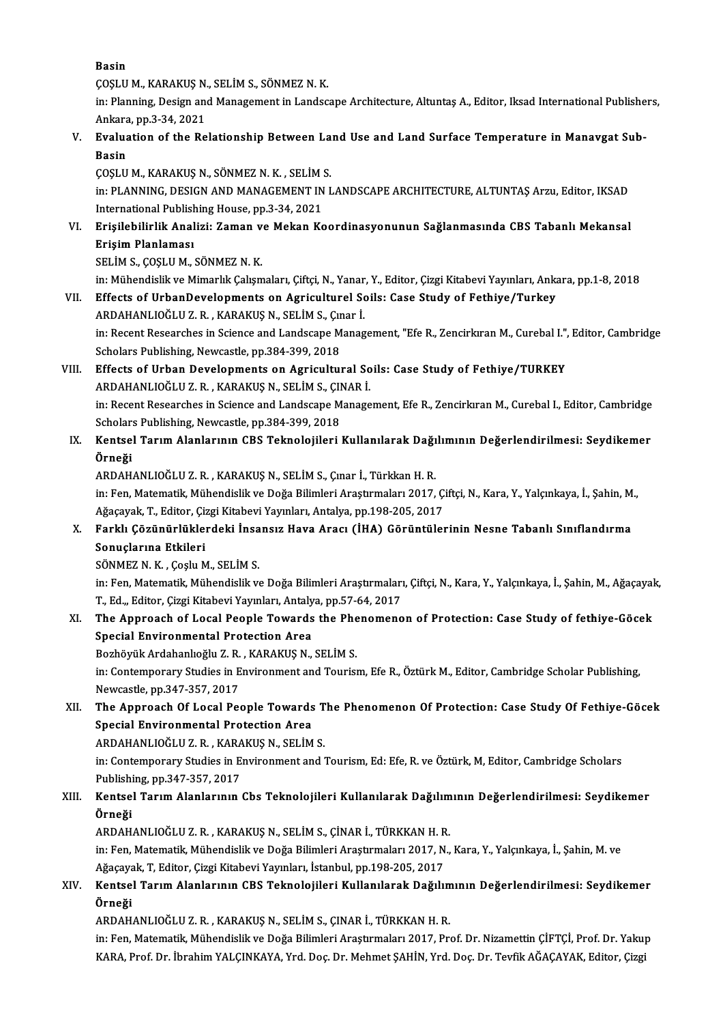Basin

**Basin<br>ÇOŞLU M., KARAKUŞ N., SELİM S., SÖNMEZ N. K.**<br>in: Planning. Design and Managament in Landas

in: Planning, Design and Management in Landscape Architecture, Altuntaş A., Editor, Iksad International Publishers,<br>Ankara, pp.3-34, 2021 COSLU M., KARAKUS N.<br>in: Planning, Design an<br>Ankara, pp.3-34, 2021<br>Evaluation of the Bo in: Planning, Design and Management in Landscape Architecture, Altuntaş A., Editor, Iksad International Publishe<br>Ankara, pp.3-34, 2021<br>V. Evaluation of the Relationship Between Land Use and Land Surface Temperature in

# Ankara<br><mark>Evalua</mark><br>Basin<br>COSI II Evaluation of the Relationship Between La<br>Basin<br>ÇOŞLU M., KARAKUŞ N., SÖNMEZ N. K. , SELİM S.<br>in: BLANNINC DESICN AND MANACEMENT IN I

Basin<br>ÇOŞLU M., KARAKUŞ N., SÖNMEZ N. K. , SELİM S.<br>in: PLANNING, DESIGN AND MANAGEMENT IN LANDSCAPE ARCHITECTURE, ALTUNTAŞ Arzu, Editor, IKSAD<br>International Publishing House, pp.3-34, 2021 COSLU M., KARAKUS N., SÖNMEZ N. K. , SELİM !<br>in: PLANNING, DESIGN AND MANAGEMENT IN<br>International Publishing House, pp.3-34, 2021<br>Erisilebilirlik Analisi: Zaman ve Mekan Ko in: PLANNING, DESIGN AND MANAGEMENT IN LANDSCAPE ARCHITECTURE, ALTUNTAŞ Arzu, Editor, IKSAD<br>International Publishing House, pp.3-34, 2021<br>VI. Brişilebilirlik Analizi: Zaman ve Mekan Koordinasyonunun Sağlanmasında CBS Taban

# International Publish<br>Erişilebilirlik Anal<br>Erişim Planlaması<br>SELİM S. COSLUM Erişilebilirlik Analizi: Zaman v<br>Erişim Planlaması<br>SELİM S., ÇOŞLU M., SÖNMEZ N. K.<br>in: Mühandialik.ve Mimarlık Çalısm <mark>Erişim Planlaması</mark><br>SELİM S., ÇOŞLU M., SÖNMEZ N. K.<br>in: Mühendislik ve Mimarlık Çalışmaları, Çiftçi, N., Yanar, Y., Editor, Çizgi Kitabevi Yayınları, Ankara, pp.1-8, 2018

## VII. Effects of UrbanDevelopments on Agriculturel Soils: Case Study of Fethiye/Turkey in: Mühendislik ve Mimarlık Çalışmaları, Çiftçi, N., Yanar<br>Effects of UrbanDevelopments on Agriculturel Sc<br>ARDAHANLIOĞLU Z. R. , KARAKUŞ N., SELİM S., Çınar İ.<br>in: Besant Bessansbes in Ssianse and Landssans Manas in: Recent Researches in Science and Landscape Management, "Efe R., Zencirkıran M., Curebal I.", Editor, Cambridge<br>Scholars Publishing, Newcastle, pp.384-399, 2018 ARDAHANLIOĞLU Z. R. , KARAKUŞ N., SELİM S., Çır<br>in: Recent Researches in Science and Landscape M<br>Scholars Publishing, Newcastle, pp.384-399, 2018<br>Effecte of Urban Developments on Agricultu in: Recent Researches in Science and Landscape Management, "Efe R., Zencirkıran M., Curebal I.",<br>Scholars Publishing, Newcastle, pp.384-399, 2018<br>VIII. Effects of Urban Developments on Agricultural Soils: Case Study of Fet

Scholars Publishing, Newcastle, pp.384-399, 2018<br>Effects of Urban Developments on Agricultural So<br>ARDAHANLIOĞLU Z. R. , KARAKUŞ N., SELİM S., ÇINAR İ. Effects of Urban Developments on Agricultural Soils: Case Study of Fethiye/TURKEY<br>ARDAHANLIOĞLU Z. R. , KARAKUŞ N., SELİM S., ÇINAR İ.<br>in: Recent Researches in Science and Landscape Management, Efe R., Zencirkıran M., Cure ARDAHANLIOĞLU Z. R. , KARAKUŞ N., SELİM S., ÇINAR İ.<br>in: Recent Researches in Science and Landscape Management, Efe R., Zencirkıran M., Curebal I., Editor, Cambridge<br>Scholars Publishing, Newcastle, pp.384-399, 2018<br>Kentsel in: Recent Researches in Science and Landscape Management, Efe R., Zencirkıran M., Curebal I., Editor, Cambridge<br>Scholars Publishing, Newcastle, pp.384-399, 2018<br>IX. Kentsel Tarım Alanlarının CBS Teknolojileri Kullanılarak

# Scholars Publishing, Newcastle, pp.384-399, 2018<br>Kentsel Tarım Alanlarının CBS Teknolojileri<br>Örneği

ARDAHANLIOĞLU Z.R., KARAKUŞ N., SELİM S., Çınar İ., Türkkan H.R.

**Örneği**<br>ARDAHANLIOĞLU Z. R. , KARAKUŞ N., SELİM S., Çınar İ., Türkkan H. R.<br>in: Fen, Matematik, Mühendislik ve Doğa Bilimleri Araştırmaları 2017, Çiftçi, N., Kara, Y., Yalçınkaya, İ., Şahin, M.,<br>Ağasayak, T., Editar, Girg ARDAHANLIOĞLU Z. R. , KARAKUŞ N., SELİM S., Çınar İ., Türkkan H. R.<br>in: Fen, Matematik, Mühendislik ve Doğa Bilimleri Araştırmaları 2017, Ç.<br>Ağaçayak, T., Editor, Çizgi Kitabevi Yayınları, Antalya, pp.198-205, 2017<br>Ferklı, in: Fen, Matematik, Mühendislik ve Doğa Bilimleri Araştırmaları 2017, Çiftçi, N., Kara, Y., Yalçınkaya, İ., Şahin, M<br>Ağaçayak, T., Editor, Çizgi Kitabevi Yayınları, Antalya, pp.198-205, 2017<br>X. Farklı Çözünürlüklerdeki İns

# Ağaçayak, T., Editor, Çiz<br>Farklı Çözünürlükleı<br>Sonuçlarına Etkileri<br>SÖNMEZ N. K., Coslu N Farklı Çözünürlüklerdeki İnsa<br>Sonuçlarına Etkileri<br>SÖNMEZ N. K. , Çoşlu M., SELİM S.<br>in: Een Metemetik Mühandielik va

S<mark>onuçlarına Etkileri</mark><br>SÖNMEZ N. K. , Çoşlu M., SELİM S.<br>in: Fen, Matematik, Mühendislik ve Doğa Bilimleri Araştırmaları, Çiftçi, N., Kara, Y., Yalçınkaya, İ., Şahin, M., Ağaçayak,<br>T. Ed., Editor, Gizsi Kitobovi Yavraları, SÖNMEZ N. K. , Çoşlu M., SELİM S.<br>in: Fen, Matematik, Mühendislik ve Doğa Bilimleri Araştırmaları<br>T., Ed.,, Editor, Çizgi Kitabevi Yayınları, Antalya, pp.57-64, 2017<br>The Annusash of Losal Beanle Tawards the Bhanamane in: Fen, Matematik, Mühendislik ve Doğa Bilimleri Araştırmaları, Çiftçi, N., Kara, Y., Yalçınkaya, İ., Şahin, M., Ağaçayal<br>T., Ed.,, Editor, Çizgi Kitabevi Yayınları, Antalya, pp.57-64, 2017<br>XI. The Approach of Local P

# T., Ed.,, Editor, Çizgi Kitabevi Yayınları, Antaly<br>The Approach of Local People Towards<br>Special Environmental Protection Area<br>Borhävük Ardabankağlu Z. B., KARAKUS N The Approach of Local People Towards the Phe<br>Special Environmental Protection Area<br>Bozhöyük Ardahanlıoğlu Z.R., KARAKUŞ N., SELİM S.<br>in: Contennesser: Studies in Environment and Teuries

Special Environmental Protection Area<br>Bozhöyük Ardahanloğlu Z. R., KARAKUŞ N., SELİM S.<br>in: Contemporary Studies in Environment and Tourism, Efe R., Öztürk M., Editor, Cambridge Scholar Publishing,<br>Newcastle, pp.347-357, 2 Bozhöyük Ardahanlıoğlu Z. R.<br>in: Contemporary Studies in E<br>Newcastle, pp.347-357, 2017<br>The Annreach Of Local Bes in: Contemporary Studies in Environment and Tourism, Efe R., Öztürk M., Editor, Cambridge Scholar Publishing,<br>Newcastle, pp.347-357, 2017<br>XII. The Approach Of Local People Towards The Phenomenon Of Protection: Case Study O

# Newcastle, pp.347-357, 2017<br>The Approach Of Local People Towards<br>Special Environmental Protection Area<br>APDAHANLIQČLUZ R., KARAKUS N., SELİM The Approach Of Local People Towards T<br>Special Environmental Protection Area<br>ARDAHANLIOĞLU Z. R. , KARAKUŞ N., SELİM S.<br>in: Contemperary Studies in Environment and i

ARDAHANLIOĞLU Z. R., KARAKUS N., SELİM S.

Special Environmental Protection Area<br>ARDAHANLIOĞLU Z. R., KARAKUŞ N., SELİM S.<br>in: Contemporary Studies in Environment and Tourism, Ed: Efe, R. ve Öztürk, M, Editor, Cambridge Scholars<br>Publishing, pp.347-357, 2017 in: Contemporary Studies in Environment and Tourism, Ed: Efe, R. ve Öztürk, M, Editor, Cambridge Scholars<br>Publishing, pp.347-357, 2017<br>XIII. Kentsel Tarım Alanlarının Cbs Teknolojileri Kullanılarak Dağılımının Değerlendiri

# Publishi<br>Kentse<br>Örneği Kentsel Tarım Alanlarının Cbs Teknolojileri Kullanılarak Dağılım<br>Örneği<br>ARDAHANLIOĞLU Z. R. , KARAKUŞ N., SELİM S., ÇİNAR İ., TÜRKKAN H. R.<br>in: Een Metematik Mühandislik ve Doğa Bilimleri Arastırmaları 2017 N

ARDAHANLIOĞLU Z.R., KARAKUŞ N., SELİM S., ÇİNAR İ., TÜRKKAN H.R.

Örneği<br>ARDAHANLIOĞLU Z. R. , KARAKUŞ N., SELİM S., ÇİNAR İ., TÜRKKAN H. R.<br>in: Fen, Matematik, Mühendislik ve Doğa Bilimleri Araştırmaları 2017, N., Kara, Y., Yalçınkaya, İ., Şahin, M. ve<br>Ağaçayak, T, Editor, Çizgi Kitabev in: Fen, Matematik, Mühendislik ve Doğa Bilimleri Araştırmaları 2017, N., Kara, Y., Yalçınkaya, İ., Şahin, M. ve<br>Ağaçayak, T, Editor, Çizgi Kitabevi Yayınları, İstanbul, pp.198-205, 2017<br>XIV. Kentsel Tarım Alanlarının

# Ağaçaya<br>Kentse<br>Örneği Kentsel Tarım Alanlarının CBS Teknolojileri Kullanılarak Dağılım<br>Örneği<br>ARDAHANLIOĞLU Z. R. , KARAKUŞ N., SELİM S., ÇINAR İ., TÜRKKAN H. R.<br>in: Ean Matamatik Mühandialik ve Doğa Bilimleri Arastrumaları 2017, Pr.

**Örneği**<br>ARDAHANLIOĞLU Z. R. , KARAKUŞ N., SELİM S., ÇINAR İ., TÜRKKAN H. R.<br>in: Fen, Matematik, Mühendislik ve Doğa Bilimleri Araştırmaları 2017, Prof. Dr. Nizamettin ÇİFTÇİ, Prof. Dr. Yakup KARA, Prof. Dr. İbrahim YALÇINKAYA, Yrd. Doç. Dr. Mehmet ŞAHİN, Yrd. Doç. Dr. Tevfik AĞAÇAYAK, Editor, Çizgi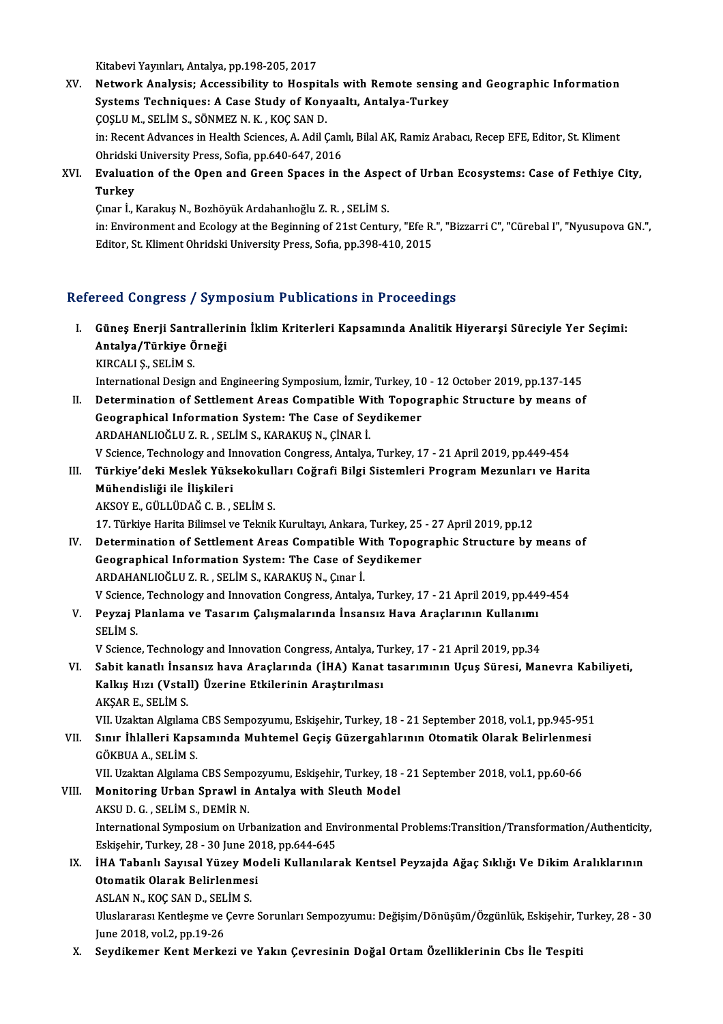Kitabevi Yayınları, Antalya, pp.198-205, 2017

- Kitabevi Yayınları, Antalya, pp.198-205, 2017<br>XV. Network Analysis; Accessibility to Hospitals with Remote sensing and Geographic Information<br>Systems Techniques: A Case Study of Konyaelty Antelya Turkey Kitabevi Yayınları, Antalya, pp.198-205, 2017<br>Network Analysis; Accessibility to Hospitals with Remote sensin<br>Systems Techniques: A Case Study of Konyaaltı, Antalya-Turkey<br>COSLUM, SELİM S. SÖNMEZ N.K., KOC SAN D Systems Techniques: A Case Study of Konyaaltı, Antalya-Turkey COSLU M., SELİM S., SÖNMEZ N. K., KOÇ SAN D. Systems Techniques: A Case Study of Konyaaltı, Antalya-Turkey<br>ÇOŞLU M., SELİM S., SÖNMEZ N. K. , KOÇ SAN D.<br>in: Recent Advances in Health Sciences, A. Adil Çamlı, Bilal AK, Ramiz Arabacı, Recep EFE, Editor, St. Kliment<br>Obr COSLU M., SELİM S., SÖNMEZ N. K. , KOÇ SAN D.<br>in: Recent Advances in Health Sciences, A. Adil Çam<br>Ohridski University Press, Sofia, pp.640-647, 2016<br>Evaluation of the Onen and Creen Spaces in t in: Recent Advances in Health Sciences, A. Adil Çamlı, Bilal AK, Ramiz Arabacı, Recep EFE, Editor, St. Kliment<br>Ohridski University Press, Sofia, pp.640-647, 2016<br>XVI. Evaluation of the Open and Green Spaces in the Aspect o
- Ohridski<br><mark>Evaluat</mark><br>Turkey Evaluation of the Open and Green Spaces in the Aspe<br>Turkey<br>Çınar İ., Karakuş N., Bozhöyük Ardahanlıoğlu Z. R. , SELİM S.<br>in: Environment and Eselegy at the Beginning of 21st Centu

**Turkey**<br>Çınar İ., Karakuş N., Bozhöyük Ardahanlıoğlu Z. R. , SELİM S.<br>in: Environment and Ecology at the Beginning of 21st Century, "Efe R.", "Bizzarri C", "Cürebal I", "Nyusupova GN.",<br>Editor, St. Kliment Obrideki Univer Çınar İ., Karakuş N., Bozhöyük Ardahanlıoğlu Z. R. , SELİM S.<br>in: Environment and Ecology at the Beginning of 21st Century, "Efe R.<br>Editor, St. Kliment Ohridski University Press, Sofia, pp.398-410, 2015

# Editor, St. Kliment Ohridski University Press, Sofia, pp.398-410, 2015<br>Refereed Congress / Symposium Publications in Proceedings

- I. Güneş Enerji Santrallerinin İklim Kriterleri Kapsamında Analitik Hiyerarşi Süreciyle Yer Seçimi: Antalya/Türkiye Örneği KIRCALI Ş.,SELİMS. InternationalDesignandEngineering Symposium, İzmir,Turkey,10 -12October 2019,pp.137-145 KIRCALI \$,, SELIM S.<br>International Design and Engineering Symposium, İzmir, Turkey, 10 - 12 October 2019, pp.137-145<br>II. Determination of Settlement Areas Compatible With Topographic Structure by means of<br>Coographical Info
- International Design and Engineering Symposium, İzmir, Turkey, 10<br>Determination of Settlement Areas Compatible With Topog<br>Geographical Information System: The Case of Seydikemer<br>APDAHANLIOČLU Z. P., SELİM S., KARAKUS N., C Determination of Settlement Areas Compatible Wi<br>Geographical Information System: The Case of Sey<br>ARDAHANLIOĞLU Z. R. , SELİM S., KARAKUŞ N., ÇİNAR İ.<br>V. Science Technology and Inneyation Congress, Antalya Geographical Information System: The Case of Seydikemer<br>ARDAHANLIOĞLU Z. R. , SELİM S., KARAKUŞ N., ÇİNAR İ.<br>V Science, Technology and Innovation Congress, Antalya, Turkey, 17 - 21 April 2019, pp.449-454 ARDAHANLIOĞLU Z. R. , SELİM S., KARAKUŞ N., ÇİNAR İ.<br>V Science, Technology and Innovation Congress, Antalya, Turkey, 17 - 21 April 2019, pp.449-454<br>III. Türkiye'deki Meslek Yüksekokulları Coğrafi Bilgi Sistemleri Progr
- V Science, Technology and Ir<br><mark>Türkiye'deki Meslek Yüks</mark><br>Mühendisliği ile İlişkileri<br>AKSOV E. CÜLLÜDAĞ C. B. Türkiye'deki Meslek Yüksekokull<br>Mühendisliği ile İlişkileri<br>AKSOY E., GÜLLÜDAĞ C. B. , SELİM S.<br>17. Türkiye Harita Bilimeel ve Telmik Mühendisliği ile İlişkileri<br>AKSOY E., GÜLLÜDAĞ C. B. , SELİM S.<br>17. Türkiye Harita Bilimsel ve Teknik Kurultayı, Ankara, Turkey, 25 - 27 April 2019, pp.12<br>Determination of Settlement Arees Compatible With Tenegraphia Strug

- AKSOY E., GÜLLÜDAĞ C. B. , SELİM S.<br>17. Türkiye Harita Bilimsel ve Teknik Kurultayı, Ankara, Turkey, 25 27 April 2019, pp.12<br>IV. Determination of Settlement Areas Compatible With Topographic Structure by means of<br>Geo 17. Türkiye Harita Bilimsel ve Teknik Kurultayı, Ankara, Turkey, 25<br>Determination of Settlement Areas Compatible With Topog<br>Geographical Information System: The Case of Seydikemer<br>APDAHANLIOČLU Z.P., SELİM S. KARAKUS N. Cu ARDAHANLIOĞLUZ.R. ,SELİMS.,KARAKUŞN.,Çınar İ. Geographical Information System: The Case of Seydikemer<br>ARDAHANLIOĞLU Z. R. , SELİM S., KARAKUŞ N., Çınar İ.<br>V Science, Technology and Innovation Congress, Antalya, Turkey, 17 - 21 April 2019, pp.449-454<br>Pevrai Planlama ve
- V. Peyzaj Planlama ve Tasarım Çalışmalarında İnsansız Hava Araçlarının Kullanımı<br>SELİM S. V Science<br><mark>Peyzaj F</mark><br>SELİM S.<br>V Science

V Science, Technology and Innovation Congress, Antalya, Turkey, 17 - 21 April 2019, pp.34

SELİM S.<br>V Science, Technology and Innovation Congress, Antalya, Turkey, 17 - 21 April 2019, pp.34<br>VI. Sabit kanatlı İnsansız hava Araçlarında (İHA) Kanat tasarımının Uçuş Süresi, Manevra Kabiliyeti,<br>Kallus Hızı (Vetall) Ü V Science, Technology and Innovation Congress, Antalya, Ty<br>Sabit kanatlı İnsansız hava Araçlarında (İHA) Kanat<br>Kalkış Hızı (Vstall) Üzerine Etkilerinin Araştırılması<br>AKSAR E. SELİM S Sabit kanatlı İnsa<br>Kalkış Hızı (Vstal<br>AKŞAR E., SELİM S.<br>VII Hraktan Akılan Kalkış Hızı (Vstall) Üzerine Etkilerinin Araştırılması<br>AKŞAR E., SELİM S.<br>VII. Uzaktan Algılama CBS Sempozyumu, Eskişehir, Turkey, 18 - 21 September 2018, vol.1, pp.945-951

AKŞAR E., SELİM S.<br>VII. Uzaktan Algılama CBS Sempozyumu, Eskişehir, Turkey, 18 - 21 September 2018, vol.1, pp.945-951<br>VII. Sınır İhlalleri Kapsamında Muhtemel Geçiş Güzergahlarının Otomatik Olarak Belirlenmesi<br>CÖKPILA VII. Uzaktan Algılama<br>Sınır İhlalleri Kaps<br>GÖKBUA A., SELİM S.<br>VII. Uzaktan Algılama Sınır İhlalleri Kapsamında Muhtemel Geçiş Güzergahlarının Otomatik Olarak Belirlenmes<br>GÖKBUA A., SELİM S.<br>VII. Uzaktan Algılama CBS Sempozyumu, Eskişehir, Turkey, 18 - 21 September 2018, vol.1, pp.60-66<br>Monitoring Urban Sp

VII. Uzaktan Algılama CBS Sempozyumu, Eskişehir, Turkey, 18 - 21 September 2018, vol.1, pp.60-66

GÖKBUA A., SELİM S.<br>VII. Uzaktan Algılama CBS Sempozyumu, Eskişehir, Turkey, 18 -<br>VIII. Monitoring Urban Sprawl in Antalya with Sleuth Model<br>AKSU D. G. , SELİM S., DEMİR N. Monitoring Urban Sprawl in Antalya with Sleuth Model<br>AKSU D. G. , SELİM S., DEMİR N.<br>International Symposium on Urbanization and Environmental Problems:Transition/Transformation/Authenticity,<br>Fekisobin Turkay, 28, 20 June AKSU D. G. , SELİM S., DEMİR N.<br>International Symposium on Urbanization and En<br>Eskişehir, Turkey, 28 - 30 June 2018, pp.644-645<br>İHA Tabanlı Samaal Yüzey Madali Kullanılar International Symposium on Urbanization and Environmental Problems:Transition/Transformation/Authenticity<br>Eskişehir, Turkey, 28 - 30 June 2018, pp.644-645<br>IX. İHA Tabanlı Sayısal Yüzey Modeli Kullanılarak Kentsel Peyzajda

# Eskişehir, Turkey, 28 - 30 June 2018, pp.644-645<br>İHA Tabanlı Sayısal Yüzey Modeli Kullanılar<br>Otomatik Olarak Belirlenmesi<br>ASLAN N., KOÇ SAN D., SELİM S. IX. İHA Tabanlı Sayısal Yüzey Modeli Kullanılarak Kentsel Peyzajda Ağaç Sıklığı Ve Dikim Aralıklarının Otomatik Olarak Belirlenmesi<br>ASLAN N., KOÇ SAN D., SELİM S.<br>Uluslararası Kentleşme ve Çevre Sorunları Sempozyumu: Değişim/Dönüşüm/Özgünlük, Eskişehir, Turkey, 28 - 30<br>Iune 2018 vel 3. pp.19.26

ASLAN N., KOÇ SAN D., SEL<br>Uluslararası Kentleşme ve (<br>June 2018, vol.2, pp.19-26<br>Sevdikemer Kent Merke Uluslararası Kentleşme ve Çevre Sorunları Sempozyumu: Değişim/Dönüşüm/Özgünlük, Eskişehir, T<br>June 2018, vol.2, pp.19-26<br>X. Seydikemer Kent Merkezi ve Yakın Çevresinin Doğal Ortam Özelliklerinin Cbs İle Tespiti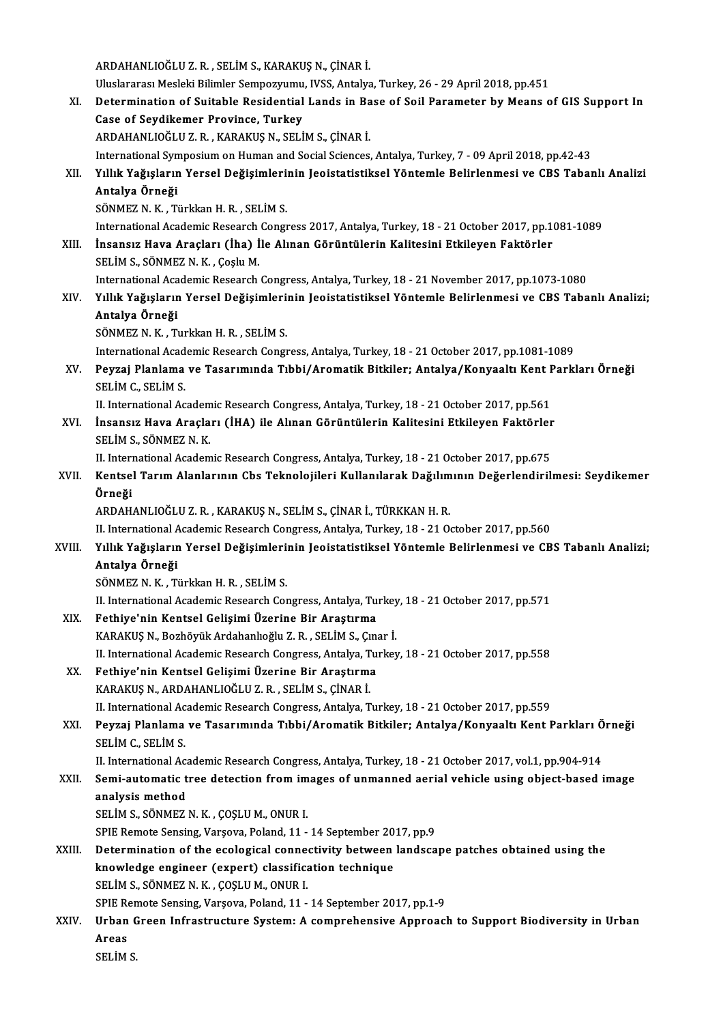ARDAHANLIOĞLUZ.R. ,SELİMS.,KARAKUŞN.,ÇİNARİ.

ARDAHANLIOĞLU Z. R. , SELİM S., KARAKUŞ N., ÇİNAR İ.<br>Uluslararası Mesleki Bilimler Sempozyumu, IVSS, Antalya, Turkey, 26 - 29 April 2018, pp.451<br>Petermination of Suitable Besidential Lands in Base of Soil Beremater by Mean ARDAHANLIOĞLU Z. R. , SELİM S., KARAKUŞ N., ÇİNAR İ.<br>Uluslararası Mesleki Bilimler Sempozyumu, IVSS, Antalya, Turkey, 26 - 29 April 2018, pp.451<br>XI. Determination of Suitable Residential Lands in Base of Soil Parameter Uluslararası Mesleki Bilimler Sempozyumu<br>Determination of Suitable Residential<br>Case of Seydikemer Province, Turkey<br>APDAHANI IQČLUZ B., KARAKUS N. SELİ Determination of Suitable Residential Lands in Ba<br>Case of Seydikemer Province, Turkey<br>ARDAHANLIOĞLU Z. R. , KARAKUŞ N., SELİM S., ÇİNAR İ.<br>International Sumnosium on Human and Social Sciences Case of Seydikemer Province, Turkey<br>ARDAHANLIOĞLU Z. R. , KARAKUŞ N., SELİM S., ÇİNAR İ.<br>International Symposium on Human and Social Sciences, Antalya, Turkey, 7 - 09 April 2018, pp.42-43 ARDAHANLIOĞLU Z. R. , KARAKUŞ N., SELİM S., ÇİNAR İ.<br>International Symposium on Human and Social Sciences, Antalya, Turkey, 7 - 09 April 2018, pp.42-43<br>XII. Yıllık Yağışların Yersel Değişimlerinin Jeoistatistiksel Yönt International Syn<br>Yıllık Yağışların<br>Antalya Örneği<br>SÖNME7 N. K. TS Yıllık Yağışların Yersel Değişimleri<br>Antalya Örneği<br>SÖNMEZ N. K., Türkkan H. R., SELİM S.<br>International Asedemis Bessersh Consu Antalya Örneği<br>SÖNMEZ N. K. , Türkkan H. R. , SELİM S.<br>International Academic Research Congress 2017, Antalya, Turkey, 18 - 21 October 2017, pp.1081-1089<br>İnsansız Haus Arasları (İba) İle Alınan Görüntülerin Kalitesini Etki SÖNMEZ N. K. , Türkkan H. R. , SELİM S.<br>International Academic Research Congress 2017, Antalya, Turkey, 18 - 21 October 2017, pp.1<br>XIII. İnsansız Hava Araçları (İha) İle Alınan Görüntülerin Kalitesini Etkileyen Faktörler<br>S International Academic Research<br>İnsansız Hava Araçları (İha) İ<br>SELİM S., SÖNMEZ N. K. , Çoşlu M.<br>International Academic Besearch İnsansız Hava Araçları (İha) İle Alınan Görüntülerin Kalitesini Etkileyen Faktörler<br>SELİM S., SÖNMEZ N. K. , Çoşlu M.<br>International Academic Research Congress, Antalya, Turkey, 18 - 21 November 2017, pp.1073-1080 SELİM S., SÖNMEZ N. K. , Çoşlu M.<br>International Academic Research Congress, Antalya, Turkey, 18 - 21 November 2017, pp.1073-1080<br>XIV. Yıllık Yağışların Yersel Değişimlerinin Jeoistatistiksel Yöntemle Belirlenmesi ve CB International Aca<br>Yıllık Yağışların<br>Antalya Örneği<br>SÖNMEZ N. K. T. Yıllık Yağışların Yersel Değişimleri<br>Antalya Örneği<br>SÖNMEZ N. K., Turkkan H. R., SELİM S.<br>International Asedemia Bessensh Consu Antalya Örneği<br>SÖNMEZ N. K. , Turkkan H. R. , SELİM S.<br>International Academic Research Congress, Antalya, Turkey, 18 - 21 October 2017, pp.1081-1089<br>Pevrai Plankame ve Tesenununda Tıhbi (Arematik Bitkiley: Antalya (Kenyeal SÖNMEZ N. K. , Turkkan H. R. , SELİM S.<br>International Academic Research Congress, Antalya, Turkey, 18 - 21 October 2017, pp.1081-1089<br>XV. Peyzaj Planlama ve Tasarımında Tıbbi/Aromatik Bitkiler; Antalya/Konyaaltı Kent P International Acad<br>Peyzaj Planlama<br>SELİM C., SELİM S.<br>H. International Ac Peyzaj Planlama ve Tasarımında Tıbbi/Aromatik Bitkiler; Antalya/Konyaaltı Kent F<br>SELİM C., SELİM S.<br>II. International Academic Research Congress, Antalya, Turkey, 18 - 21 October 2017, pp.561<br>İnsensus Have Anselanı (İHA) i SELİM C., SELİM S.<br>II. International Academic Research Congress, Antalya, Turkey, 18 - 21 October 2017, pp.561<br>XVI. İnsansız Hava Araçları (İHA) ile Alınan Görüntülerin Kalitesini Etkileyen Faktörler<br>SELİM S. SÖNMEZ N. II. International Academ<br>Insansız Hava Araçla<br>SELİM S., SÖNMEZ N. K.<br>II. International Academ İnsansız Hava Araçları (İHA) ile Alınan Görüntülerin Kalitesini Etkileyen Faktörler<br>SELİM S., SÖNMEZ N. K.<br>II. International Academic Research Congress, Antalya, Turkey, 18 - 21 October 2017, pp.675<br>Kantsel Tarım Alanların SELİM S., SÖNMEZ N. K.<br>II. International Academic Research Congress, Antalya, Turkey, 18 - 21 October 2017, pp.675<br>XVII. Kentsel Tarım Alanlarının Cbs Teknolojileri Kullanılarak Dağılımının Değerlendirilmesi: Seydikeme II Interi<br><mark>Kentse</mark><br>Örneği<br>APDAH Kentsel Tarım Alanlarının Cbs Teknolojileri Kullanılarak Dağılım<br>Örneği<br>ARDAHANLIOĞLU Z. R. , KARAKUŞ N., SELİM S., ÇİNAR İ., TÜRKKAN H. R.<br>II. International Acedemis Besearsh Consress, Antalya Turkey, 19, 21 Q. Örneği<br>ARDAHANLIOĞLU Z. R. , KARAKUŞ N., SELİM S., ÇİNAR İ., TÜRKKAN H. R.<br>II. International Academic Research Congress, Antalya, Turkey, 18 - 21 October 2017, pp.560 XVIII. Yıllık Yağışların Yersel Değişimlerinin Jeoistatistiksel Yöntemle Belirlenmesi ve CBS Tabanlı Analizi; Antalya Örneği SÖNMEZN.K., Türkkan H.R., SELİM S. II. International Academic Research Congress, Antalya, Turkey, 18 - 21 October 2017, pp.571 XIX. Fethiye'nin Kentsel Gelişimi Üzerine Bir Araştırma KARAKUŞN.,BozhöyükArdahanlıoğlu Z.R. ,SELİMS.,Çınar İ. Fethiye'nin Kentsel Gelişimi Üzerine Bir Araştırma<br>KARAKUŞ N., Bozhöyük Ardahanlıoğlu Z. R. , SELİM S., Çınar İ.<br>II. International Academic Research Congress, Antalya, Turkey, 18 - 21 October 2017, pp.558<br>Fethiye'nin Kents XX. Fethiye'nin Kentsel Gelişimi Üzerine Bir Araştırma II. International Academic Research Congress, Antalya, T<br>Fethiye'nin Kentsel Gelişimi Üzerine Bir Araştırmı<br>KARAKUŞ N., ARDAHANLIOĞLU Z. R. , SELİM S., ÇİNAR İ.<br>H. International Asademia Besearab Congress, Antalya T II. International Academic Research Congress, Antalya, Turkey, 18 - 21 October 2017, pp.559 KARAKUŞ N., ARDAHANLIOĞLU Z. R. , SELİM S., ÇİNAR İ.<br>II. International Academic Research Congress, Antalya, Turkey, 18 - 21 October 2017, pp.559<br>XXI. Peyzaj Planlama ve Tasarımında Tıbbi/Aromatik Bitkiler; An II. International Ac<br>Peyzaj Planlama<br>SELİM C., SELİM S.<br>II. International Ac Peyzaj Planlama ve Tasarımında Tıbbi/Aromatik Bitkiler; Antalya/Konyaaltı Kent Parkları Ö<br>SELİM C., SELİM S.<br>II. International Academic Research Congress, Antalya, Turkey, 18 - 21 October 2017, vol.1, pp.904-914<br>Semi autom SELIM C., SELIM S.<br>II. International Academic Research Congress, Antalya, Turkey, 18 - 21 October 2017, vol.1, pp.904-914<br>XXII. Semi-automatic tree detection from images of unmanned aerial vehicle using object-based image<br> II. International Academic Research Congress, Antalya, Turkey, 18 - 21 October 2017, vol.1, pp.904-914<br>Semi-automatic tree detection from images of unmanned aerial vehicle using object-based<br>analysis method<br>SELIM S., SÖNME Semi-automatic tree detection from im<br>analysis method<br>SELİM S., SÖNMEZ N. K. , ÇOŞLU M., ONUR I.<br>SPIE Bemete Sonsing Venseve, Beland, 11 analysis method<br>SELİM S., SÖNMEZ N. K. , ÇOŞLU M., ONUR I.<br>SPIE Remote Sensing, Varşova, Poland, 11 - 14 September 2017, pp.9<br>Determination of the esclogisel sonnestivity between landses SELİM S., SÖNMEZ N. K., ÇOŞLU M., ONUR I.<br>SPIE Remote Sensing, Varşova, Poland, 11 - 14 September 2017, pp.9<br>XXIII. Determination of the ecological connectivity between landscape patches obtained using the SPIE Remote Sensing, Varşova, Poland, 11 - 14 September 20<br>Determination of the ecological connectivity between<br>knowledge engineer (expert) classification technique<br>SELIM S. SÖNMEZ N.K., COSLUM ONUP L Determination of the ecological conner<br>knowledge engineer (expert) classifica<br>SELİM S., SÖNMEZ N. K. , ÇOŞLU M., ONUR I.<br>SPIE Bemete Sonsing Venseve, Peland 11 knowledge engineer (expert) classification technique<br>SELIM S., SÖNMEZ N. K. , ÇOŞLU M., ONUR I.<br>SPIE Remote Sensing, Varşova, Poland, 11 - 14 September 2017, pp.1-9<br>Urban Croon Infractrusture System: A semnrebensiye Annreo SELİM S., SÖNMEZ N. K. , ÇOŞLU M., ONUR I.<br>SPIE Remote Sensing, Varşova, Poland, 11 - 14 September 2017, pp.1-9<br>XXIV. Urban Green Infrastructure System: A comprehensive Approach to Support Biodiversity in Urban<br>Azees SPIE Re<br>Urban<br>Areas<br>seu im Urban (<br>Areas<br>SELİM S.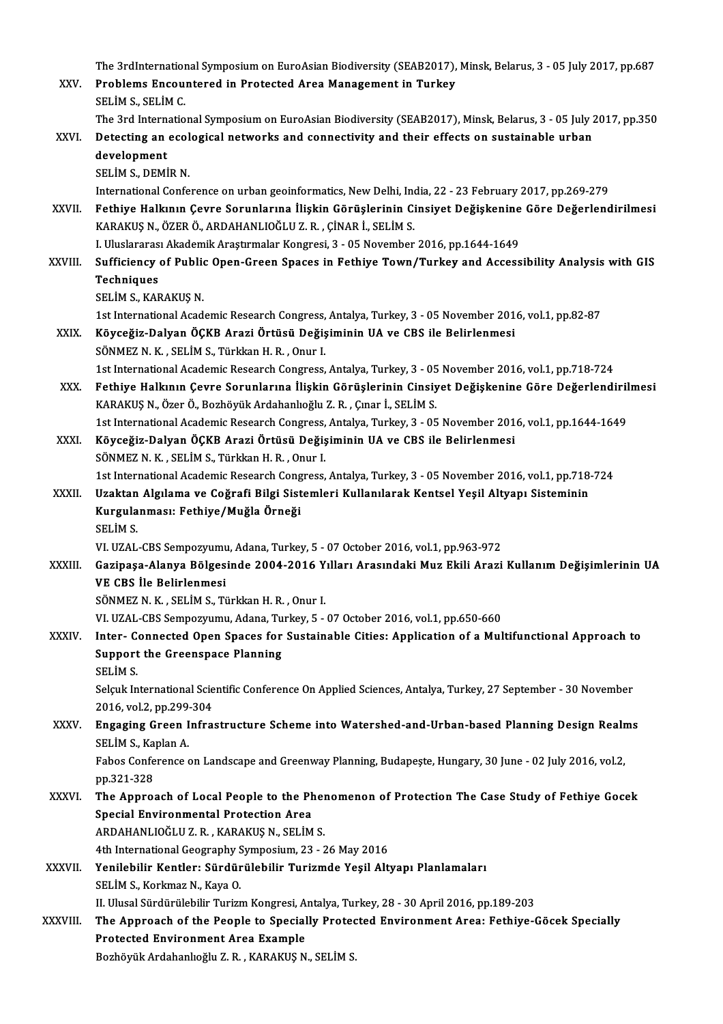|               | The 3rdInternational Symposium on EuroAsian Biodiversity (SEAB2017), Minsk, Belarus, 3 - 05 July 2017, pp.687                                                                                                 |
|---------------|---------------------------------------------------------------------------------------------------------------------------------------------------------------------------------------------------------------|
| XXV.          | Problems Encountered in Protected Area Management in Turkey                                                                                                                                                   |
|               | SELIM S., SELIM C.                                                                                                                                                                                            |
|               | The 3rd International Symposium on EuroAsian Biodiversity (SEAB2017), Minsk, Belarus, 3 - 05 July 2017, pp.350                                                                                                |
| XXVI.         | Detecting an ecological networks and connectivity and their effects on sustainable urban                                                                                                                      |
|               | development                                                                                                                                                                                                   |
|               | SELIM S., DEMIR N.                                                                                                                                                                                            |
| XXVII.        | International Conference on urban geoinformatics, New Delhi, India, 22 - 23 February 2017, pp.269-279<br>Fethiye Halkının Çevre Sorunlarına İlişkin Görüşlerinin Cinsiyet Değişkenine Göre Değerlendirilmesi  |
|               | KARAKUŞ N., ÖZER Ö., ARDAHANLIOĞLU Z. R., ÇİNAR İ., SELİM S.                                                                                                                                                  |
|               | I. Uluslararası Akademik Araştırmalar Kongresi, 3 - 05 November 2016, pp 1644-1649                                                                                                                            |
| XXVIII.       | Sufficiency of Public Open-Green Spaces in Fethiye Town/Turkey and Accessibility Analysis with GIS                                                                                                            |
|               | Techniques                                                                                                                                                                                                    |
|               | SELİM S., KARAKUŞ N.                                                                                                                                                                                          |
|               | 1st International Academic Research Congress, Antalya, Turkey, 3 - 05 November 2016, vol.1, pp.82-87                                                                                                          |
| XXIX.         | Köyceğiz-Dalyan ÖÇKB Arazi Örtüsü Değişiminin UA ve CBS ile Belirlenmesi                                                                                                                                      |
|               | SÖNMEZ N. K., SELİM S., Türkkan H. R., Onur I.                                                                                                                                                                |
| XXX.          | 1st International Academic Research Congress, Antalya, Turkey, 3 - 05 November 2016, vol.1, pp.718-724<br>Fethiye Halkının Çevre Sorunlarına İlişkin Görüşlerinin Cinsiyet Değişkenine Göre Değerlendirilmesi |
|               | KARAKUŞ N., Özer Ö., Bozhöyük Ardahanlıoğlu Z. R., Çınar İ., SELİM S.                                                                                                                                         |
|               | 1st International Academic Research Congress, Antalya, Turkey, 3 - 05 November 2016, vol.1, pp.1644-1649                                                                                                      |
| XXXI.         | Köyceğiz-Dalyan ÖÇKB Arazi Örtüsü Değişiminin UA ve CBS ile Belirlenmesi                                                                                                                                      |
|               | SÖNMEZ N. K., SELİM S., Türkkan H. R., Onur I.                                                                                                                                                                |
|               | 1st International Academic Research Congress, Antalya, Turkey, 3 - 05 November 2016, vol.1, pp.718-724                                                                                                        |
| XXXII.        | Uzaktan Algılama ve Coğrafi Bilgi Sistemleri Kullanılarak Kentsel Yeşil Altyapı Sisteminin                                                                                                                    |
|               | Kurgulanması: Fethiye/Muğla Örneği                                                                                                                                                                            |
|               | SELIM S.                                                                                                                                                                                                      |
| XXXIII.       | VI. UZAL-CBS Sempozyumu, Adana, Turkey, 5 - 07 October 2016, vol.1, pp.963-972<br>Gazipaşa-Alanya Bölgesinde 2004-2016 Yılları Arasındaki Muz Ekili Arazi Kullanım Değişimlerinin UA                          |
|               | VE CBS İle Belirlenmesi                                                                                                                                                                                       |
|               | SÖNMEZ N. K., SELİM S., Türkkan H. R., Onur I.                                                                                                                                                                |
|               | VI. UZAL-CBS Sempozyumu, Adana, Turkey, 5 - 07 October 2016, vol.1, pp.650-660                                                                                                                                |
| XXXIV.        | Inter- Connected Open Spaces for Sustainable Cities: Application of a Multifunctional Approach to                                                                                                             |
|               | <b>Support the Greenspace Planning</b>                                                                                                                                                                        |
|               | SELIM S                                                                                                                                                                                                       |
|               | Selçuk International Scientific Conference On Applied Sciences, Antalya, Turkey, 27 September - 30 November                                                                                                   |
|               | 2016, vol.2, pp.299-304                                                                                                                                                                                       |
| XXXV.         | Engaging Green Infrastructure Scheme into Watershed-and-Urban-based Planning Design Realms<br>SELİM S., Kaplan A.                                                                                             |
|               | Fabos Conference on Landscape and Greenway Planning, Budapește, Hungary, 30 June - 02 July 2016, vol.2,                                                                                                       |
|               | pp 321-328                                                                                                                                                                                                    |
| <b>XXXVI</b>  | The Approach of Local People to the Phenomenon of Protection The Case Study of Fethiye Gocek                                                                                                                  |
|               | <b>Special Environmental Protection Area</b>                                                                                                                                                                  |
|               | ARDAHANLIOĞLU Z. R., KARAKUŞ N., SELİM S.                                                                                                                                                                     |
|               | 4th International Geography Symposium, 23 - 26 May 2016                                                                                                                                                       |
| <b>XXXVII</b> | Yenilebilir Kentler: Sürdürülebilir Turizmde Yeşil Altyapı Planlamaları                                                                                                                                       |
|               | SELİM S., Korkmaz N., Kaya O.                                                                                                                                                                                 |
| XXXVIII.      | II. Ulusal Sürdürülebilir Turizm Kongresi, Antalya, Turkey, 28 - 30 April 2016, pp.189-203<br>The Approach of the People to Specially Protected Environment Area: Fethiye-Göcek Specially                     |
|               | Protected Environment Area Example                                                                                                                                                                            |
|               | Bozhöyük Ardahanlıoğlu Z. R., KARAKUŞ N., SELİM S.                                                                                                                                                            |
|               |                                                                                                                                                                                                               |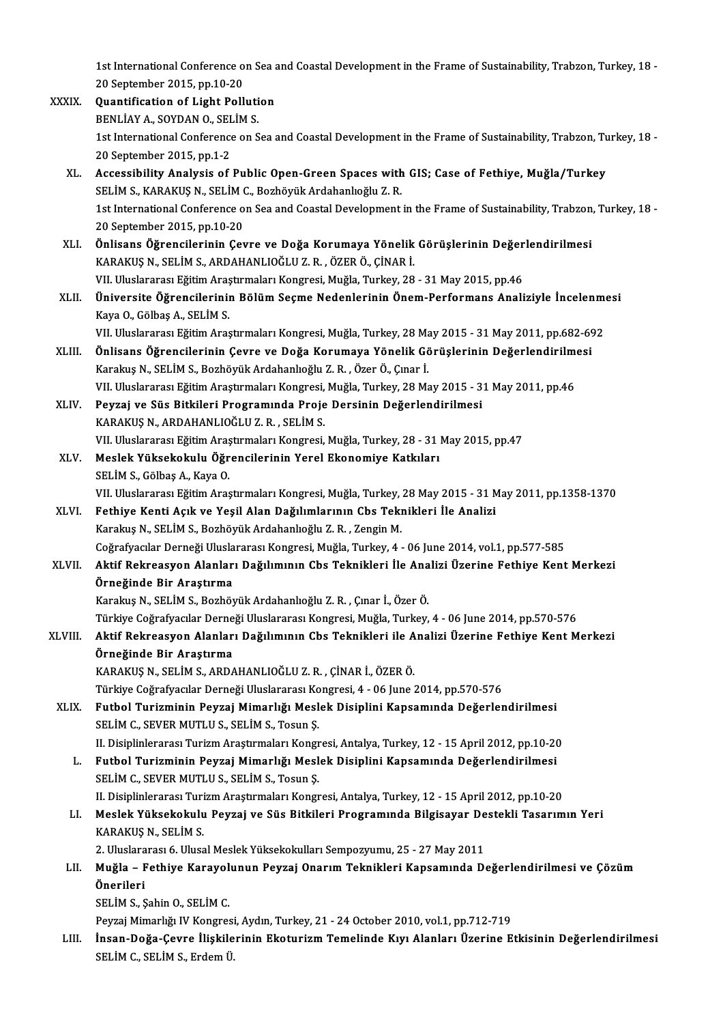1st International Conference on Sea and Coastal Development in the Frame of Sustainability, Trabzon, Turkey, 18 -<br>20 Sentember 2015, pp 10, 20 1st International Conference of<br>20 September 2015, pp.10-20<br>Quantification of Light Poll

|         | 1st International Conference on Sea and Coastal Development in the Frame of Sustainability, Trabzon, Turkey, 18-                     |
|---------|--------------------------------------------------------------------------------------------------------------------------------------|
|         | 20 September 2015, pp 10-20                                                                                                          |
| XXXIX.  | Quantification of Light Pollution                                                                                                    |
|         | BENLİAY A., SOYDAN O., SELİM S.                                                                                                      |
|         | 1st International Conference on Sea and Coastal Development in the Frame of Sustainability, Trabzon, Turkey, 18-                     |
|         | 20 September 2015, pp 1-2                                                                                                            |
| XL.     | Accessibility Analysis of Public Open-Green Spaces with GIS; Case of Fethiye, Muğla/Turkey                                           |
|         | SELİM S., KARAKUŞ N., SELİM C., Bozhöyük Ardahanlıoğlu Z. R.                                                                         |
|         | 1st International Conference on Sea and Coastal Development in the Frame of Sustainability, Trabzon, Turkey, 18-                     |
|         | 20 September 2015, pp 10-20                                                                                                          |
| XLI.    | Önlisans Öğrencilerinin Çevre ve Doğa Korumaya Yönelik Görüşlerinin Değerlendirilmesi                                                |
|         | KARAKUŞ N., SELİM S., ARDAHANLIOĞLU Z. R., ÖZER Ö., ÇİNAR İ.                                                                         |
|         | VII. Uluslararası Eğitim Araştırmaları Kongresi, Muğla, Turkey, 28 - 31 May 2015, pp.46                                              |
| XLII.   | Üniversite Öğrencilerinin Bölüm Seçme Nedenlerinin Önem-Performans Analiziyle İncelenmesi                                            |
|         | Kaya O., Gölbaş A., SELİM S.                                                                                                         |
|         | VII. Uluslararası Eğitim Araştırmaları Kongresi, Muğla, Turkey, 28 May 2015 - 31 May 2011, pp.682-692                                |
| XLIII.  | Önlisans Öğrencilerinin Çevre ve Doğa Korumaya Yönelik Görüşlerinin Değerlendirilmesi                                                |
|         | Karakuş N., SELİM S., Bozhöyük Ardahanlıoğlu Z. R., Özer Ö., Çınar İ.                                                                |
|         | VII. Uluslararası Eğitim Araştırmaları Kongresi, Muğla, Turkey, 28 May 2015 - 31 May 2011, pp.46                                     |
| XLIV.   | Peyzaj ve Süs Bitkileri Programında Proje Dersinin Değerlendirilmesi                                                                 |
|         | KARAKUŞ N., ARDAHANLIOĞLU Z. R., SELİM S.                                                                                            |
|         | VII. Uluslararası Eğitim Araştırmaları Kongresi, Muğla, Turkey, 28 - 31 May 2015, pp.47                                              |
| XLV.    | Meslek Yüksekokulu Öğrencilerinin Yerel Ekonomiye Katkıları                                                                          |
|         | SELİM S., Gölbaş A., Kaya O.                                                                                                         |
|         | VII. Uluslararası Eğitim Araştırmaları Kongresi, Muğla, Turkey, 28 May 2015 - 31 May 2011, pp.1358-1370                              |
| XLVI.   | Fethiye Kenti Açık ve Yeşil Alan Dağılımlarının Cbs Teknikleri İle Analizi                                                           |
|         | Karakuş N., SELİM S., Bozhöyük Ardahanlıoğlu Z. R., Zengin M.                                                                        |
|         | Coğrafyacılar Derneği Uluslararası Kongresi, Muğla, Turkey, 4 - 06 June 2014, vol.1, pp.577-585                                      |
| XLVII.  | Aktif Rekreasyon Alanları Dağılımının Cbs Teknikleri İle Analizi Üzerine Fethiye Kent Merkezi                                        |
|         | Örneğinde Bir Araştırma                                                                                                              |
|         | Karakuş N., SELİM S., Bozhöyük Ardahanlıoğlu Z. R., Çınar İ., Özer Ö.                                                                |
|         | Türkiye Coğrafyacılar Derneği Uluslararası Kongresi, Muğla, Turkey, 4 - 06 June 2014, pp.570-576                                     |
| XLVIII. | Aktif Rekreasyon Alanları Dağılımının Cbs Teknikleri ile Analizi Üzerine Fethiye Kent Merkezi                                        |
|         | Örneğinde Bir Araştırma                                                                                                              |
|         | KARAKUŞ N., SELİM S., ARDAHANLIOĞLU Z. R., ÇİNAR İ., ÖZER Ö.                                                                         |
|         | Türkiye Coğrafyacılar Derneği Uluslararası Kongresi, 4 - 06 June 2014, pp.570-576                                                    |
| XLIX.   | Futbol Turizminin Peyzaj Mimarlığı Meslek Disiplini Kapsamında Değerlendirilmesi                                                     |
|         | SELIM C., SEVER MUTLU S., SELIM S., Tosun Ş.                                                                                         |
|         | II. Disiplinlerarası Turizm Araştırmaları Kongresi, Antalya, Turkey, 12 - 15 April 2012, pp.10-20                                    |
| L.      | Futbol Turizminin Peyzaj Mimarlığı Meslek Disiplini Kapsamında Değerlendirilmesi                                                     |
|         | SELIM C., SEVER MUTLU S., SELIM S., Tosun Ş.                                                                                         |
|         | II. Disiplinlerarası Turizm Araştırmaları Kongresi, Antalya, Turkey, 12 - 15 April 2012, pp.10-20                                    |
| LI.     | Meslek Yüksekokulu Peyzaj ve Süs Bitkileri Programında Bilgisayar Destekli Tasarımın Yeri                                            |
|         | KARAKUŞ N., SELİM S.                                                                                                                 |
|         | 2. Uluslararası 6. Ulusal Meslek Yüksekokulları Sempozyumu, 25 - 27 May 2011                                                         |
| LII.    | Muğla - Fethiye Karayolunun Peyzaj Onarım Teknikleri Kapsamında Değerlendirilmesi ve Çözüm                                           |
|         | Önerileri                                                                                                                            |
|         | SELIM S., Şahin O., SELIM C.                                                                                                         |
|         | Peyzaj Mimarlığı IV Kongresi, Aydın, Turkey, 21 - 24 October 2010, vol.1, pp.712-719                                                 |
| LIII.   | İnsan-Doğa-Çevre İlişkilerinin Ekoturizm Temelinde Kıyı Alanları Üzerine Etkisinin Değerlendirilmesi<br>SELIM C., SELIM S., Erdem Ü. |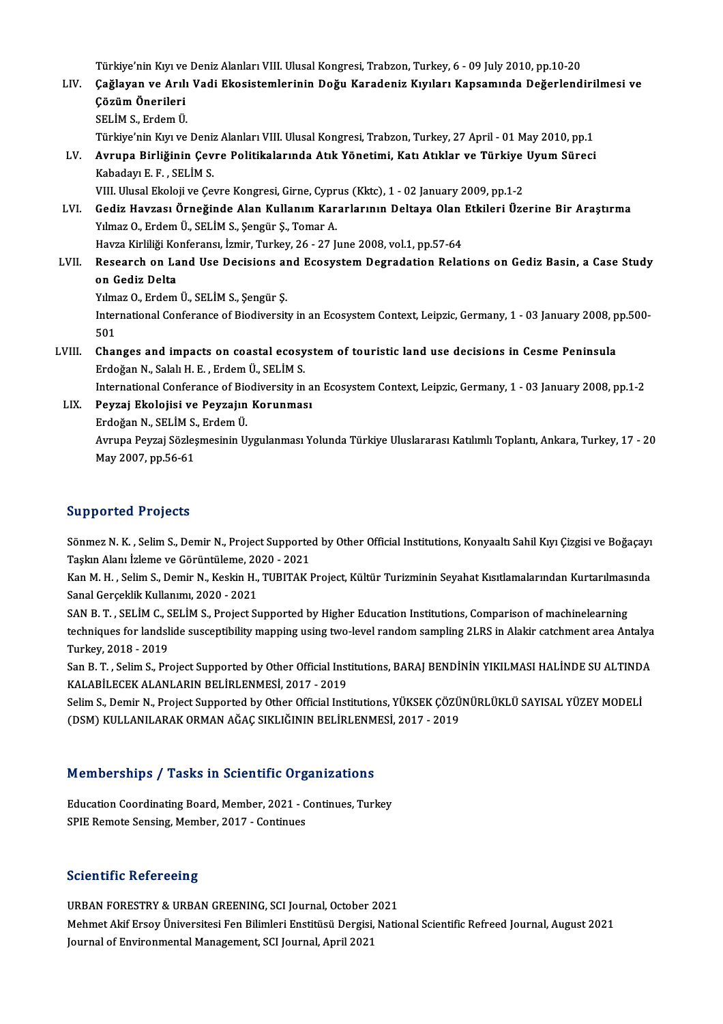Türkiye'nin Kıyı ve Deniz Alanları VIII. Ulusal Kongresi, Trabzon, Turkey, 6 - 09 July 2010, pp.10-20<br>Cağlayan ve Arılı Vadi Ekogistamlarinin Değu Karadaniz Kuyları Kansamında Değarland

- Türkiye'nin Kıyı ve Deniz Alanları VIII. Ulusal Kongresi, Trabzon, Turkey, 6 09 July 2010, pp.10-20<br>LIV. Çağlayan ve Arılı Vadi Ekosistemlerinin Doğu Karadeniz Kıyıları Kapsamında Değerlendirilmesi ve<br>Görüm Önerileri Türkiye'nin Kıyı ve<br>Çağlayan ve Arılı<br>Çözüm Önerileri<br>SELİM S. Erdem Ü Çağlayan ve Arılı<br>Çözüm Önerileri<br>SELİM S., Erdem Ü.<br>Türkim'nin Kun ve **Çözüm Önerileri**<br>SELİM S., Erdem Ü.<br>Türkiye'nin Kıyı ve Deniz Alanları VIII. Ulusal Kongresi, Trabzon, Turkey, 27 April - 01 May 2010, pp.1 SELİM S., Erdem Ü.<br>Türkiye'nin Kıyı ve Deniz Alanları VIII. Ulusal Kongresi, Trabzon, Turkey, 27 April - 01 May 2010, pp.1<br>LV. Avrupa Birliğinin Çevre Politikalarında Atık Yönetimi, Katı Atıklar ve Türkiye Uyum Süreci<br>
- Kabadayı E. F. , SELİM S.<br>VIII. Ulusal Ekoloji ve Çevre Kongresi, Girne, Cyprus (Kktc), 1 02 January 2009, pp.1-2 Avrupa Birliğinin Çevre Politikalarında Atık Yönetimi, Katı Atıklar ve Türkiye<br>Kabadayı E. F. , SELİM S.<br>VIII. Ulusal Ekoloji ve Çevre Kongresi, Girne, Cyprus (Kktc), 1 - 02 January 2009, pp.1-2<br>Cedir Havresı Örneğinde Ala

Kabadayı E. F. , SELİM S.<br>VIII. Ulusal Ekoloji ve Çevre Kongresi, Girne, Cyprus (Kktc), 1 - 02 January 2009, pp.1-2<br>LVI. Gediz Havzası Örneğinde Alan Kullanım Kararlarının Deltaya Olan Etkileri Üzerine Bir Araştırma<br>Vı Yılmaz O., Erdem Ü., SELİM S., Şengür Ş., Tomar A. Gediz Havzası Örneğinde Alan Kullanım Kararlarının Deltaya Olan<br>Yılmaz O., Erdem Ü., SELİM S., Şengür Ş., Tomar A.<br>Havza Kirliliği Konferansı, İzmir, Turkey, 26 - 27 June 2008, vol.1, pp.57-64<br>Besearsh on Land Hse Desision Havza Kirliliği Konferansı, İzmir, Turkey, 26 - 27 June 2008, vol 1, pp 57-64

LVII. Research on Land Use Decisions and Ecosystem Degradation Relations on Gediz Basin, a Case Study<br>on Gediz Delta Research on Land Use Decisions al<br>on Gediz Delta<br>Yılmaz O., Erdem Ü., SELİM S., Şengür Ş.<br>International Conference of Biodiyensit

International Conferance of Biodiversity in an Ecosystem Context, Leipzic, Germany, 1 - 03 January 2008, pp.500-<br>501 Yılma<br>Inter<br>501<br>Char International Conferance of Biodiversity in an Ecosystem Context, Leipzic, Germany, 1 - 03 January 2008, p<br>501<br>LVIII. Changes and impacts on coastal ecosystem of touristic land use decisions in Cesme Peninsula

501<br>Changes and impacts on coastal ecosy<br>Erdoğan N., Salalı H. E. , Erdem Ü., SELİM S.<br>International Conference of Biodiversity in Changes and impacts on coastal ecosystem of touristic land use decisions in Cesme Peninsula<br>Erdoğan N., Salalı H. E. , Erdem Ü., SELİM S.<br>International Conferance of Biodiversity in an Ecosystem Context, Leipzic, Germany,

Erdoğan N., Salalı H. E. , Erdem Ü., SELİM S.<br>International Conferance of Biodiversity in a<br>LIX. Peyzaj Ekolojisi ve Peyzajın Korunması<br>Erdoğan N., SELİM S., Erdem Ü. International Conferance of Bic<br>Peyzaj Ekolojisi ve Peyzajın<br>Erdoğan N., SELİM S., Erdem Ü.<br>Arruna Peyraj Sözlesmesinin U. Avrupa Peyzaj Sözleşmesinin Uygulanması Yolunda Türkiye Uluslararası Katılımlı Toplantı, Ankara, Turkey, 17 - 20 May2007,pp.56-61

### Supported Projects

Sönmez N.K., Selim S., Demir N., Project Supported by Other Official Institutions, Konyaaltı Sahil Kıyı Çizgisi ve Boğaçayı TaşkınAlanı İzleme veGörüntüleme,2020 -2021 Sönmez N. K. , Selim S., Demir N., Project Supported by Other Official Institutions, Konyaaltı Sahil Kıyı Çizgisi ve Boğaçayı<br>Taşkın Alanı İzleme ve Görüntüleme, 2020 - 2021<br>Kan M. H. , Selim S., Demir N., Keskin H., TUBIT

Taşkın Alanı İzleme ve Görüntüleme, 20<br>Kan M. H. , Selim S., Demir N., Keskin H.,<br>Sanal Gerçeklik Kullanımı, 2020 - 2021<br>SAN B. T., SELİM G. SELİM S. Project S. Kan M. H. , Selim S., Demir N., Keskin H., TUBITAK Project, Kültür Turizminin Seyahat Kısıtlamalarından Kurtarılması<br>Sanal Gerçeklik Kullanımı, 2020 - 2021<br>SAN B. T. , SELİM C., SELİM S., Project Supported by Higher Educat

Sanal Gerçeklik Kullanımı, 2020 - 2021<br>SAN B. T. , SELİM C., SELİM S., Project Supported by Higher Education Institutions, Comparison of machinelearning<br>techniques for landslide susceptibility mapping using two-level rando SAN B. T. , SELIM C., S<br>techniques for landsl<br>Turkey, 2018 - 2019<br>Sen B. T. , Selim S. Br. techniques for landslide susceptibility mapping using two-level random sampling 2LRS in Alakir catchment area Antalya<br>Turkey, 2018 - 2019<br>San B. T. , Selim S., Project Supported by Other Official Institutions, BARAJ BENDİN

Turkey, 2018 - 2019<br>San B. T. , Selim S., Project Supported by Other Official Inst<br>KALABİLECEK ALANLARIN BELİRLENMESİ, 2017 - 2019<br>Selim S. Demir N. Project Supported by Other Official Inst San B. T. , Selim S., Project Supported by Other Official Institutions, BARAJ BENDİNİN YIKILMASI HALİNDE SU ALTIND.<br>KALABİLECEK ALANLARIN BELİRLENMESİ, 2017 - 2019<br>Selim S., Demir N., Project Supported by Other Official In

KALABİLECEK ALANLARIN BELİRLENMESİ, 2017 - 2019<br>Selim S., Demir N., Project Supported by Other Official Institutions, YÜKSEK ÇÖZÜNÜRLÜKLÜ SAYISAL YÜZEY MODELİ<br>(DSM) KULLANILARAK ORMAN AĞAÇ SIKLIĞININ BELİRLENMESİ, 2017 - 2

## Memberships / Tasks in Scientific Organizations

Memberships / Tasks in Scientific Organizations<br>Education Coordinating Board, Member, 2021 - Continues, Turkey<br>SPIE Bemete Sonsing, Member, 2017 - Continues SPIE Remote Sensing, Member, 2021 - C<br>SPIE Remote Sensing, Member, 2017 - Continues SPIE Remote Sensing, Member, 2017 - Continues<br>Scientific Refereeing

URBANFORESTRY&URBANGREENING,SCI Journal,October 2021 Berentinie Nefereenig<br>URBAN FORESTRY & URBAN GREENING, SCI Journal, October 2021<br>Mehmet Akif Ersoy Üniversitesi Fen Bilimleri Enstitüsü Dergisi, National Scientific Refreed Journal, August 2021 URBAN FORESTRY & URBAN GREENING, SCI Journal, October 2<br>Mehmet Akif Ersoy Üniversitesi Fen Bilimleri Enstitüsü Dergisi,<br>Journal of Environmental Management, SCI Journal, April 2021